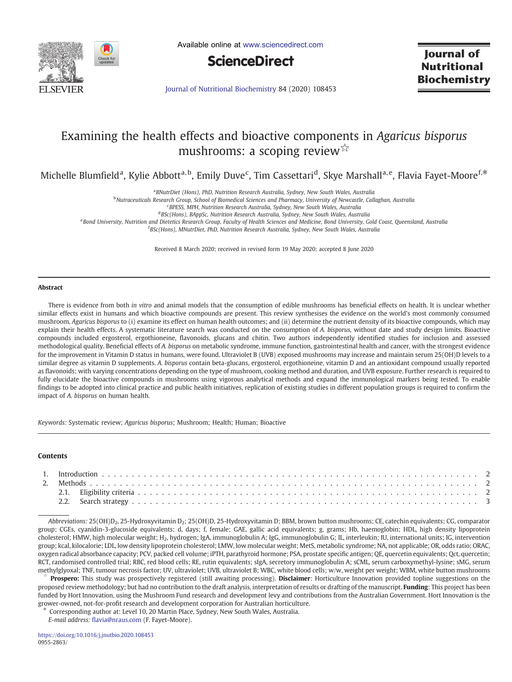

Available online at [www.sciencedirect.com](http://www.sciencedirect.com/science/journal/09552863)



lournal of **Nutritional Biochemistry** 

[Journal of Nutritional Biochemistry](https://doi.org/10.1016/j.jnutbio.2020.108453) 84 (2020) 108453

# Examining the health effects and bioactive components in Agaricus bisporus mushrooms: a scoping review☆

Michelle Blumfield<sup>a</sup>, Kylie Abbott<sup>a,b</sup>, Emily Duve<sup>c</sup>, Tim Cassettari<sup>d</sup>, Skye Marshall<sup>a,e</sup>, Flavia Fayet-Moore<sup>f,\*</sup>

<sup>a</sup> BNutrDiet (Hons), PhD, Nutrition Research Australia, Sydney, New South Wales, Australia

<sup>b</sup>Nutraceuticals Research Group, School of Biomedical Sciences and Pharmacy, University of Newcastle, Callaghan, Australia

c BPESS, MPH, Nutrition Research Australia, Sydney, New South Wales, Australia

<sup>d</sup>BSc(Hons), BAppSc, Nutrition Research Australia, Sydney, New South Wales, Australia

e Bond University, Nutrition and Dietetics Research Group, Faculty of Health Sciences and Medicine, Bond University, Gold Coast, Queensland, Australia

f BSc(Hons), MNutrDiet, PhD, Nutrition Research Australia, Sydney, New South Wales, Australia

Received 8 March 2020; received in revised form 19 May 2020; accepted 8 June 2020

# Abstract

There is evidence from both in vitro and animal models that the consumption of edible mushrooms has beneficial effects on health. It is unclear whether similar effects exist in humans and which bioactive compounds are present. This review synthesises the evidence on the world's most commonly consumed mushroom, Agaricus bisporus to (i) examine its effect on human health outcomes; and (ii) determine the nutrient density of its bioactive compounds, which may explain their health effects. A systematic literature search was conducted on the consumption of A. bisporus, without date and study design limits. Bioactive compounds included ergosterol, ergothioneine, flavonoids, glucans and chitin. Two authors independently identified studies for inclusion and assessed methodological quality. Beneficial effects of A. bisporus on metabolic syndrome, immune function, gastrointestinal health and cancer, with the strongest evidence for the improvement in Vitamin D status in humans, were found. Ultraviolet B (UVB) exposed mushrooms may increase and maintain serum 25(OH)D levels to a similar degree as vitamin D supplements. A. bisporus contain beta-glucans, ergosterol, ergothioneine, vitamin D and an antioxidant compound usually reported as flavonoids; with varying concentrations depending on the type of mushroom, cooking method and duration, and UVB exposure. Further research is required to fully elucidate the bioactive compounds in mushrooms using vigorous analytical methods and expand the immunological markers being tested. To enable findings to be adopted into clinical practice and public health initiatives, replication of existing studies in different population groups is required to confirm the impact of A. bisporus on human health.

Keywords: Systematic review; Agaricus bisporus; Mushroom; Health; Human; Bioactive

# Contents

Abbreviations: 25(OH)D<sub>2</sub>, 25-Hydroxyvitamin D<sub>2</sub>; 25(OH)D, 25-Hydroxyvitamin D; BBM, brown button mushrooms; CE, catechin equivalents; CG, comparator group; CGEs, cyanidin-3-glucoside equivalents; d, days; f, female; GAE, gallic acid equivalents; g, grams; Hb, haemoglobin; HDL, high density lipoprotein cholesterol; HMW, high molecular weight; H2, hydrogen; IgA, immunoglobulin A; IgG, immunoglobulin G; IL, interleukin; IU, international units; IG, intervention group; kcal, kilocalorie; LDL, low density lipoprotein cholesterol; LMW, low molecular weight; MetS, metabolic syndrome; NA, not applicable; OR, odds ratio; ORAC, oxygen radical absorbance capacity; PCV, packed cell volume; iPTH, parathyroid hormone; PSA, prostate specific antigen; QE, quercetin equivalents; Qct, quercetin; RCT, randomised controlled trial; RBC, red blood cells; RE, rutin equivalents; sIgA, secretory immunoglobulin A; sCML, serum carboxymethyl-lysine; sMG, serum methylglyoxal; TNF, tumour necrosis factor; UV, ultraviolet; UVB, ultraviolet B; WBC, white blood cells; w/w, weight per weight; WBM, white button mushrooms

Prospero: This study was prospectively registered (still awaiting processing). Disclaimer: Horticulture Innovation provided topline suggestions on the proposed review methodology; but had no contribution to the draft analysis, interpretation of results or drafting of the manuscript. Funding: This project has been funded by Hort Innovation, using the Mushroom Fund research and development levy and contributions from the Australian Government. Hort Innovation is the grower-owned, not-for-profit research and development corporation for Australian horticulture.

⁎ Corresponding author at: Level 10, 20 Martin Place, Sydney, New South Wales, Australia.

E-mail address: fl[avia@nraus.com](flavia@nraus.com) (F. Fayet-Moore).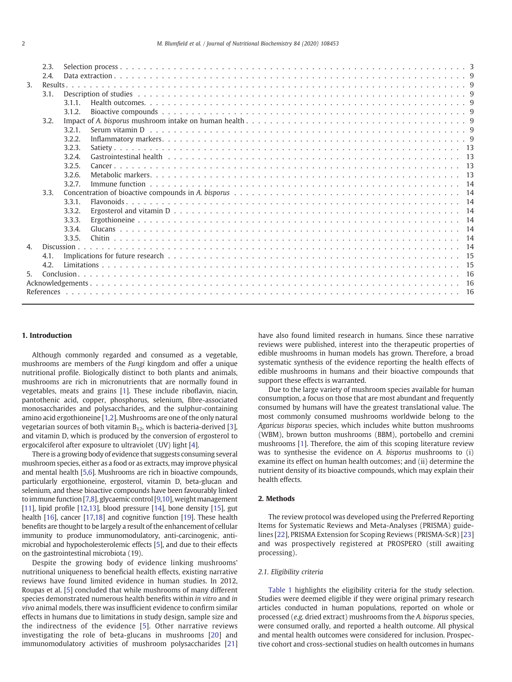|                  | 2.3. |           |  |  |  |  |  |  |  |  |  |  |  |
|------------------|------|-----------|--|--|--|--|--|--|--|--|--|--|--|
|                  | 2.4. |           |  |  |  |  |  |  |  |  |  |  |  |
| 3.               |      |           |  |  |  |  |  |  |  |  |  |  |  |
|                  | 3.1. |           |  |  |  |  |  |  |  |  |  |  |  |
|                  |      | $3.1.1$ . |  |  |  |  |  |  |  |  |  |  |  |
|                  |      | 3.1.2.    |  |  |  |  |  |  |  |  |  |  |  |
|                  | 3.2. |           |  |  |  |  |  |  |  |  |  |  |  |
|                  |      | 3.2.1.    |  |  |  |  |  |  |  |  |  |  |  |
|                  |      | 3.2.2.    |  |  |  |  |  |  |  |  |  |  |  |
|                  |      |           |  |  |  |  |  |  |  |  |  |  |  |
|                  |      | 3.2.3.    |  |  |  |  |  |  |  |  |  |  |  |
|                  |      | 3.2.4.    |  |  |  |  |  |  |  |  |  |  |  |
|                  |      | 3.2.5.    |  |  |  |  |  |  |  |  |  |  |  |
|                  |      | 3.2.6     |  |  |  |  |  |  |  |  |  |  |  |
|                  |      | 3.2.7.    |  |  |  |  |  |  |  |  |  |  |  |
|                  | 3.3. |           |  |  |  |  |  |  |  |  |  |  |  |
|                  |      | 3.3.1.    |  |  |  |  |  |  |  |  |  |  |  |
|                  |      | 3.3.2.    |  |  |  |  |  |  |  |  |  |  |  |
|                  |      | 3.3.3.    |  |  |  |  |  |  |  |  |  |  |  |
|                  |      | 3.3.4.    |  |  |  |  |  |  |  |  |  |  |  |
|                  |      | 3.3.5.    |  |  |  |  |  |  |  |  |  |  |  |
| $\overline{4}$ . |      |           |  |  |  |  |  |  |  |  |  |  |  |
|                  | 4.1. |           |  |  |  |  |  |  |  |  |  |  |  |
|                  |      |           |  |  |  |  |  |  |  |  |  |  |  |
| 4.2.<br>5.       |      |           |  |  |  |  |  |  |  |  |  |  |  |
|                  |      |           |  |  |  |  |  |  |  |  |  |  |  |
|                  |      |           |  |  |  |  |  |  |  |  |  |  |  |
|                  |      |           |  |  |  |  |  |  |  |  |  |  |  |

# 1. Introduction

Although commonly regarded and consumed as a vegetable, mushrooms are members of the Fungi kingdom and offer a unique nutritional profile. Biologically distinct to both plants and animals, mushrooms are rich in micronutrients that are normally found in vegetables, meats and grains [\[1\]](#page-15-0). These include riboflavin, niacin, pantothenic acid, copper, phosphorus, selenium, fibre-associated monosaccharides and polysaccharides, and the sulphur-containing amino acid ergothioneine [\[1,2](#page-15-0)]. Mushrooms are one of the only natural vegetarian sources of both vitamin  $B_{12}$ , which is bacteria-derived [\[3](#page-15-0)], and vitamin D, which is produced by the conversion of ergosterol to ergocalciferol after exposure to ultraviolet (UV) light [[4\]](#page-15-0).

There is a growing body of evidence that suggests consuming several mushroom species, either as a food or as extracts, may improve physical and mental health [\[5,6\]](#page-15-0). Mushrooms are rich in bioactive compounds, particularly ergothioneine, ergosterol, vitamin D, beta-glucan and selenium, and these bioactive compounds have been favourably linked to immune function [\[7,8\]](#page-15-0), glycaemic control [[9](#page-15-0),[10\]](#page-15-0), weight management [\[11](#page-15-0)], lipid profile [\[12,13](#page-15-0)], blood pressure [[14\]](#page-15-0), bone density [[15](#page-15-0)], gut health [[16\]](#page-15-0), cancer [\[17,18](#page-15-0)] and cognitive function [[19\]](#page-15-0). These health benefits are thought to be largely a result of the enhancement of cellular immunity to produce immunomodulatory, anti-carcinogenic, antimicrobial and hypocholesterolemic effects [\[5\]](#page-15-0), and due to their effects on the gastrointestinal microbiota (19).

Despite the growing body of evidence linking mushrooms' nutritional uniqueness to beneficial health effects, existing narrative reviews have found limited evidence in human studies. In 2012, Roupas et al. [\[5\]](#page-15-0) concluded that while mushrooms of many different species demonstrated numerous health benefits within in vitro and in vivo animal models, there was insufficient evidence to confirm similar effects in humans due to limitations in study design, sample size and the indirectness of the evidence [\[5](#page-15-0)]. Other narrative reviews investigating the role of beta-glucans in mushrooms [[20\]](#page-15-0) and immunomodulatory activities of mushroom polysaccharides [[21\]](#page-15-0) have also found limited research in humans. Since these narrative reviews were published, interest into the therapeutic properties of edible mushrooms in human models has grown. Therefore, a broad systematic synthesis of the evidence reporting the health effects of edible mushrooms in humans and their bioactive compounds that support these effects is warranted.

Due to the large variety of mushroom species available for human consumption, a focus on those that are most abundant and frequently consumed by humans will have the greatest translational value. The most commonly consumed mushrooms worldwide belong to the Agaricus bisporus species, which includes white button mushrooms (WBM), brown button mushrooms (BBM), portobello and cremini mushrooms [\[1\]](#page-15-0). Therefore, the aim of this scoping literature review was to synthesise the evidence on A. bisporus mushrooms to (i) examine its effect on human health outcomes; and (ii) determine the nutrient density of its bioactive compounds, which may explain their health effects.

# 2. Methods

The review protocol was developed using the Preferred Reporting Items for Systematic Reviews and Meta-Analyses (PRISMA) guidelines [[22\]](#page-15-0), PRISMA Extension for Scoping Reviews (PRISMA-ScR) [[23](#page-15-0)] and was prospectively registered at PROSPERO (still awaiting processing).

# 2.1. Eligibility criteria

[Table 1](#page-2-0) highlights the eligibility criteria for the study selection. Studies were deemed eligible if they were original primary research articles conducted in human populations, reported on whole or processed (e.g. dried extract) mushrooms from the A. bisporus species, were consumed orally, and reported a health outcome. All physical and mental health outcomes were considered for inclusion. Prospective cohort and cross-sectional studies on health outcomes in humans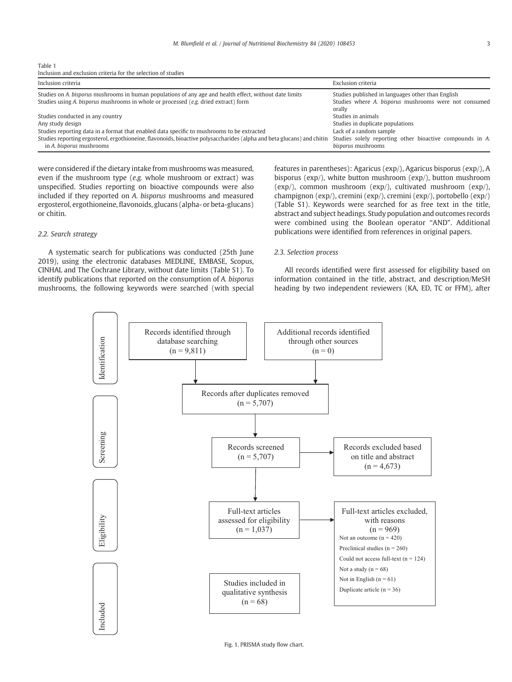<span id="page-2-0"></span>

| Table 1                                                       |  |  |  |
|---------------------------------------------------------------|--|--|--|
| Inclusion and exclusion criteria for the selection of studies |  |  |  |

| Inclusion criteria                                                                                                                                                                             | Exclusion criteria                                                                                                   |
|------------------------------------------------------------------------------------------------------------------------------------------------------------------------------------------------|----------------------------------------------------------------------------------------------------------------------|
| Studies on A, bisporus mushrooms in human populations of any age and health effect, without date limits<br>Studies using A, bisporus mushrooms in whole or processed (e.g. dried extract) form | Studies published in languages other than English<br>Studies where A. bisporus mushrooms were not consumed<br>orally |
| Studies conducted in any country                                                                                                                                                               | Studies in animals                                                                                                   |
| Any study design                                                                                                                                                                               | Studies in duplicate populations                                                                                     |
| Studies reporting data in a format that enabled data specific to mushrooms to be extracted                                                                                                     | Lack of a random sample                                                                                              |
| Studies reporting ergosterol, ergothioneine, flavonoids, bioactive polysaccharides (alpha and beta glucans) and chitin<br>in A. bisporus mushrooms                                             | Studies solely reporting other bioactive compounds in A.<br>bisporus mushrooms                                       |

were considered if the dietary intake from mushrooms was measured, even if the mushroom type (e.g. whole mushroom or extract) was unspecified. Studies reporting on bioactive compounds were also included if they reported on A. bisporus mushrooms and measured ergosterol, ergothioneine, flavonoids, glucans (alpha- or beta-glucans) or chitin.

# 2.2. Search strategy

A systematic search for publications was conducted (25th June 2019), using the electronic databases MEDLINE, EMBASE, Scopus, CINHAL and The Cochrane Library, without date limits (Table S1). To identify publications that reported on the consumption of A. bisporus mushrooms, the following keywords were searched (with special features in parentheses): Agaricus (exp/), Agaricus bisporus (exp/), A bisporus (exp/), white button mushroom (exp/), button mushroom (exp/), common mushroom (exp/), cultivated mushroom (exp/), champignon (exp/), cremini (exp/), cremini (exp/), portobello (exp/) (Table S1). Keywords were searched for as free text in the title, abstract and subject headings. Study population and outcomes records were combined using the Boolean operator "AND". Additional publications were identified from references in original papers.

# 2.3. Selection process

All records identified were first assessed for eligibility based on information contained in the title, abstract, and description/MeSH heading by two independent reviewers (KA, ED, TC or FFM), after

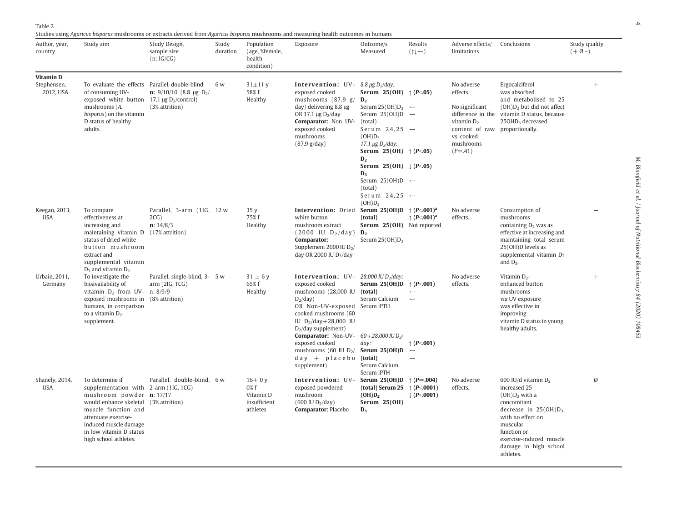<span id="page-3-0"></span>

Studies using Agaricus bisporus mushrooms or extracts derived from Agaricus bisporus mushrooms and measuring health outcomes in humans

| Author, year,<br>country                     | induce asing rigaricas bisporas masmooms or extracts acrived nom rigaricas bisporas masmooms and measuring neamn outcomes in numans<br>Study aim                                                                                                         | Study Design,<br>sample size<br>(n:IG/CG)                         | Study<br>duration | Population<br>(age, %female,<br>health<br>condition)        | Exposure                                                                                                                                                                                                                                                                                                                                                                | Outcome/s<br>Measured                                                                                                                                                                                                                                                                                                                                                                          | Results<br>$(1 \rightarrow)$                                                   | Adverse effects/<br>limitations                                                                                                                           | Conclusions                                                                                                                                                                                                                     | Study quality<br>$(+\emptyset-)$ |
|----------------------------------------------|----------------------------------------------------------------------------------------------------------------------------------------------------------------------------------------------------------------------------------------------------------|-------------------------------------------------------------------|-------------------|-------------------------------------------------------------|-------------------------------------------------------------------------------------------------------------------------------------------------------------------------------------------------------------------------------------------------------------------------------------------------------------------------------------------------------------------------|------------------------------------------------------------------------------------------------------------------------------------------------------------------------------------------------------------------------------------------------------------------------------------------------------------------------------------------------------------------------------------------------|--------------------------------------------------------------------------------|-----------------------------------------------------------------------------------------------------------------------------------------------------------|---------------------------------------------------------------------------------------------------------------------------------------------------------------------------------------------------------------------------------|----------------------------------|
| <b>Vitamin D</b><br>Stephensen,<br>2012, USA | To evaluate the effects Parallel, double-blind<br>of consuming UV-<br>exposed white button $17.1 \,\mu g \, D_2$ /control)<br>mushrooms (A.<br>bisporus) on the vitamin<br>D status of healthy<br>adults.                                                | n: $9/10/10$ (8.8 µg D <sub>2</sub> /<br>(3% attrition)           | 6 w               | $31\pm11$ y<br>58% f<br>Healthy                             | <b>Intervention:</b> UV- $8.8 \mu g D_2/day$ :<br>exposed cooked<br>mushrooms (87.9 g/<br>day) delivering 8.8 µg<br>OR 17.1 $\mu$ g D <sub>2</sub> /day<br>Comparator: Non UV-<br>exposed cooked<br>mushrooms<br>(87.9 g/day)                                                                                                                                           | Serum 25(OH) $\uparrow$ (P<.05)<br>$D_2$<br>Serum 25(OH) $D_3 \rightarrow$<br>Serum 25(OH)D $\leftrightarrow$<br>(total)<br>Serum 24,25 $\rightarrow$<br>$(OH)D_3$<br>17.1 $\mu$ g D <sub>2</sub> /day:<br>Serum 25(OH) $\uparrow$ (P<.05)<br>D <sub>2</sub><br>Serum 25(OH) $\downarrow$ (P<.05)<br>$D_3$<br>Serum 25(OH)D $\rightarrow$<br>(total)<br>Serum 24,25 $\rightarrow$<br>$(OH)D_3$ |                                                                                | No adverse<br>effects.<br>No significant<br>difference in the<br>vitamin $D2$<br>content of raw proportionally.<br>vs. cooked<br>mushrooms<br>$(P = .41)$ | Ergocalciferol<br>was absorbed<br>and metabolised to 25<br>$(OH)D2$ but did not affect<br>vitamin D status, because<br>25OHD <sub>3</sub> decreased                                                                             | $^{+}$                           |
| Keegan, 2013,<br><b>USA</b>                  | To compare<br>effectiveness at<br>increasing and<br>maintaining vitamin D (17% attrition)<br>status of dried white<br>button mushroom<br>extract and<br>supplemental vitamin<br>$D_3$ and vitamin $D_2$ .                                                | Parallel, 3-arm (1IG, 12 w<br>2CG)<br>n: 14/8/3                   |                   | 35y<br>75% f<br>Healthy                                     | <b>Intervention:</b> Dried <b>Serum 25(OH)D</b> $\uparrow$ (P<.001) <sup>a</sup><br>white button<br>mushroom extract<br>$(2000$ IU D <sub>2</sub> /day) $D_2$<br>Comparator:<br>Supplement 2000 IU $D_2$ /<br>day OR 2000 IU D3/day                                                                                                                                     | (total)<br>Serum 25(OH) Not reported<br>Serum $25(OH)D_3$                                                                                                                                                                                                                                                                                                                                      | $\uparrow$ (P<.001) <sup>a</sup>                                               | No adverse<br>effects.                                                                                                                                    | Consumption of<br>mushrooms<br>containing $D_2$ was as<br>effective at increasing and<br>maintaining total serum<br>25(OH)D levels as<br>supplemental vitamin D <sub>2</sub><br>and $D_3$ .                                     |                                  |
| Urbain, 2011,<br>Germany                     | To investigate the<br>bioavailability of<br>vitamin $D_2$ from UV- n: 8/9/9<br>exposed mushrooms in<br>humans, in comparison<br>to a vitamin $D_2$<br>supplement.                                                                                        | Parallel, single-blind, 3- 5 w<br>arm(2IG, 1CG)<br>(8% attrition) |                   | $31 \pm 6$ y<br>65% f<br>Healthy                            | <b>Intervention:</b> UV- 28,000 IU $D_2$ /day:<br>exposed cooked<br>mushrooms (28,000 IU<br>$D_2$ /day)<br>OR Non-UV-exposed Serum iPTH<br>cooked mushrooms (60<br>IU $D_2$ /day+28,000 IU<br>$D2/day$ supplement)<br><b>Comparator:</b> Non-UV- $60+28.000$ IU D <sub>2</sub> /<br>exposed cooked<br>mushrooms (60 IU $D_2/$<br>$day + placebo$ (total)<br>supplement) | Serum 25(OH)D $\uparrow$ (P<.001)<br>(total)<br>Serum Calcium<br>day:<br>Serum $25(OH)D$<br>Serum Calcium<br>Serum iPTH                                                                                                                                                                                                                                                                        | $\leftrightarrow$<br>$\uparrow$ (P<.001)<br>$\rightarrow$<br>$\leftrightarrow$ | No adverse<br>effects.                                                                                                                                    | Vitamin $D_{2}$ -<br>enhanced button<br>mushrooms<br>via UV exposure<br>was effective in<br>improving<br>vitamin D status in young,<br>healthy adults.                                                                          | $^{+}$                           |
| Shanely, 2014,<br><b>USA</b>                 | To determine if<br>supplementation with 2-arm (1IG, 1CG)<br>mushroom powder n: 17/17<br>would enhance skeletal (3% attrition)<br>muscle function and<br>attenuate exercise-<br>induced muscle damage<br>in low vitamin D status<br>high school athletes. | Parallel, double-blind, 6 w                                       |                   | $16\pm0$ y<br>0% f<br>Vitamin D<br>insufficient<br>athletes | Intervention: UV-<br>exposed powdered<br>mushroom<br>$(600 \text{ IU } D_2/\text{day})$<br><b>Comparator: Placebo</b>                                                                                                                                                                                                                                                   | Serum 25(OH)D $\uparrow$ (P=.004)<br>(total) Serum 25<br>(OH)D <sub>2</sub><br>Serum $25(OH)$<br>$D_3$                                                                                                                                                                                                                                                                                         | $\uparrow$ (P<.0001)<br>$\downarrow$ (P<.0001)                                 | No adverse<br>effects.                                                                                                                                    | 600 IU/d vitamin D <sub>2</sub><br>increased 25<br>$(OH)D2$ with a<br>concomitant<br>decrease in $25(OH)D_3$ ,<br>with no effect on<br>muscular<br>function or<br>exercise-induced muscle<br>damage in high school<br>athletes. | Ø                                |

M. Blumfield et al. / Journal of Nutritional Biochemistry 84 (2020) 108453 M. Blumfield et al. / Journal of Nutritional Biochemistry 84 (2020) 108453

4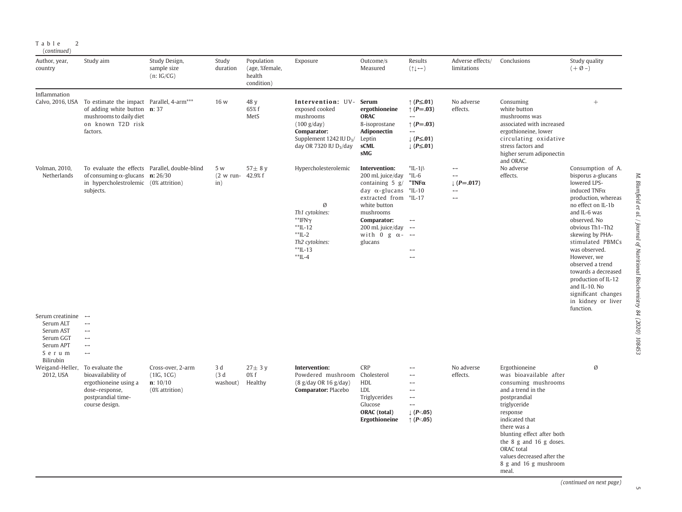|  | Table |             |  |
|--|-------|-------------|--|
|  |       | (continued) |  |

| Author, year,<br>country                                                                                     | Study aim                                                                                                                                                                      | Study Design,<br>sample size<br>(n:IG/CG)                     | Study<br>duration               | Population<br>(age, %female,<br>health<br>condition) | Exposure                                                                                                                                                | Outcome/s<br>Measured                                                                                                                                                                                                                          | Results<br>$(1 \rightarrow)$                                                                                                                                                         | Adverse effects/<br>limitations                                                                       | Conclusions                                                                                                                                                                                                                                                                                              | Study quality<br>$(+\emptyset-)$                                                                                                                                                                                                                                                                                                                                                           |
|--------------------------------------------------------------------------------------------------------------|--------------------------------------------------------------------------------------------------------------------------------------------------------------------------------|---------------------------------------------------------------|---------------------------------|------------------------------------------------------|---------------------------------------------------------------------------------------------------------------------------------------------------------|------------------------------------------------------------------------------------------------------------------------------------------------------------------------------------------------------------------------------------------------|--------------------------------------------------------------------------------------------------------------------------------------------------------------------------------------|-------------------------------------------------------------------------------------------------------|----------------------------------------------------------------------------------------------------------------------------------------------------------------------------------------------------------------------------------------------------------------------------------------------------------|--------------------------------------------------------------------------------------------------------------------------------------------------------------------------------------------------------------------------------------------------------------------------------------------------------------------------------------------------------------------------------------------|
| Inflammation                                                                                                 | Calvo, 2016, USA To estimate the impact Parallel, 4-arm <sup>***</sup><br>of adding white button $\mathbf{n}$ : 37<br>mushrooms to daily diet<br>on known T2D risk<br>factors. |                                                               | 16 w                            | 48 y<br>65% f<br>MetS                                | Intervention: UV- Serum<br>exposed cooked<br>mushrooms<br>(100 g/day)<br>Comparator:<br>Supplement 1242 IU $D_3/$<br>day OR 7320 IU D <sub>3</sub> /day | ergothioneine<br><b>ORAC</b><br>8-isoprostane<br>Adiponectin<br>Leptin<br>sCML<br>sMG                                                                                                                                                          | $\uparrow$ (P $\leq$ .01)<br>$\uparrow$ (P=.03)<br>$\rightarrow$<br>$\uparrow$ (P=.03)<br>$\longrightarrow$<br>$\downarrow$ (P $\leq$ .01)<br>$\downarrow$ (P $\leq$ .01)            | No adverse<br>effects.                                                                                | Consuming<br>white button<br>mushrooms was<br>associated with increased<br>ergothioneine, lower<br>circulating oxidative<br>stress factors and<br>higher serum adiponectin                                                                                                                               | $+$                                                                                                                                                                                                                                                                                                                                                                                        |
| Volman, 2010,<br>Netherlands                                                                                 | To evaluate the effects Parallel, double-blind<br>of consuming $\alpha$ -glucans <b>n:</b> 26/30<br>in hypercholestrolemic (0% attrition)<br>subjects.                         |                                                               | 5 w<br>(2 w run- 42.9% f<br>in) | $57\pm 8$ y                                          | Hypercholesterolemic<br>Ø<br>Th1 cytokines:<br>$*$ <sup>FN<math>\gamma</math></sup><br>$*$ IL-12<br>$*$ IL-2<br>Th2 cytokines:<br>$*IL-13$<br>$*$ IL-4  | Intervention:<br>200 mL juice/day<br>containing $5$ g/<br>day $\alpha$ -glucans<br>extracted from *IL-17<br>white button<br>mushrooms<br>Comparator:<br>200 mL juice/day $\leftrightarrow$<br>with 0 g $\alpha$ - $\leftrightarrow$<br>glucans | $^*$ IL-1 $\beta$<br>$*$ IL-6<br>$^*$ TNF $\alpha$<br>*IL-10<br>$\longrightarrow$<br>$\leftrightarrow$<br>$\leftrightarrow$                                                          | $\leftrightarrow$<br>$\rightarrow$<br>$\downarrow$ (P=.017)<br>$\leftrightarrow$<br>$\leftrightarrow$ | and ORAC.<br>No adverse<br>effects.                                                                                                                                                                                                                                                                      | Consumption of A.<br>bisporus a-glucans<br>lowered LPS-<br>induced TNF <sub>a</sub><br>production, whereas<br>no effect on IL-1b<br>and IL-6 was<br>observed. No<br>obvious Th1-Th2<br>skewing by PHA-<br>stimulated PBMCs<br>was observed.<br>However, we<br>observed a trend<br>towards a decreased<br>production of IL-12<br>and IL-10. No<br>significant changes<br>in kidney or liver |
| Serum creatinine $\leftrightarrow$<br>Serum ALT<br>Serum AST<br>Serum GGT<br>Serum APT<br>Serum<br>Bilirubin | $\longleftrightarrow$<br>$\leftrightarrow$<br>$\leftrightarrow$<br>$\rightarrow$<br>$\longleftrightarrow$                                                                      |                                                               |                                 |                                                      |                                                                                                                                                         |                                                                                                                                                                                                                                                |                                                                                                                                                                                      |                                                                                                       |                                                                                                                                                                                                                                                                                                          |                                                                                                                                                                                                                                                                                                                                                                                            |
| Weigand-Heller,<br>2012, USA                                                                                 | To evaluate the<br>bioavailability of<br>ergothioneine using a<br>dose-response,<br>postprandial time-<br>course design.                                                       | Cross-over, 2-arm<br>(1IG, 1CG)<br>n: 10/10<br>(0% attrition) | 3 d<br>(3d)<br>washout)         | $27 \pm 3$ y<br>0% f<br>Healthy                      | Intervention:<br>Powdered mushroom Cholesterol<br>(8 g/day OR 16 g/day)<br>Comparator: Placebo                                                          | <b>CRP</b><br><b>HDL</b><br><b>LDL</b><br>Triglycerides<br>Glucose<br><b>ORAC</b> (total)<br>Ergothioneine                                                                                                                                     | $\longleftrightarrow$<br>$\longleftrightarrow$<br>$\leftrightarrow$<br>$\leftrightarrow$<br>$\longleftrightarrow$<br>$\leftrightarrow$<br>$\downarrow$ (P<.05)<br>$\uparrow$ (P<.05) | No adverse<br>effects.                                                                                | Ergothioneine<br>was bioavailable after<br>consuming mushrooms<br>and a trend in the<br>postprandial<br>triglyceride<br>response<br>indicated that<br>there was a<br>blunting effect after both<br>the 8 g and 16 g doses.<br>ORAC total<br>values decreased after the<br>8 g and 16 g mushroom<br>meal. | Ø                                                                                                                                                                                                                                                                                                                                                                                          |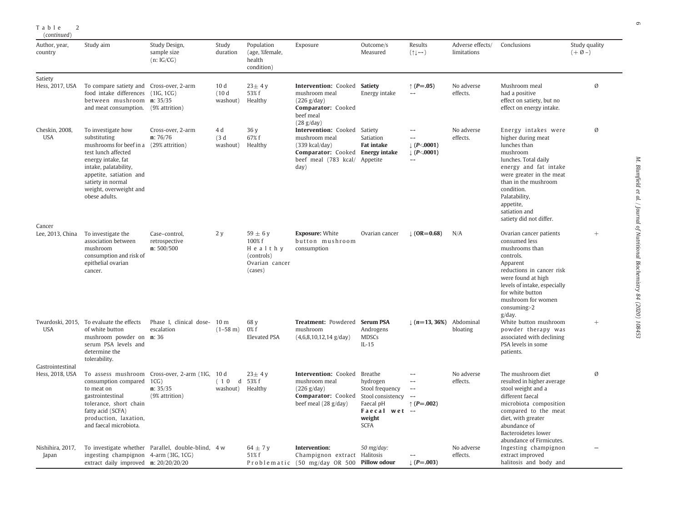| (continued)                            |                                                                                                                                                                                                                                                |                                                                          |                                      |                                                                              |                                                                                                                                                       |                                                                                               |                                                                                                             |                                 |                                                                                                                                                                                                                                                                    |                                  |
|----------------------------------------|------------------------------------------------------------------------------------------------------------------------------------------------------------------------------------------------------------------------------------------------|--------------------------------------------------------------------------|--------------------------------------|------------------------------------------------------------------------------|-------------------------------------------------------------------------------------------------------------------------------------------------------|-----------------------------------------------------------------------------------------------|-------------------------------------------------------------------------------------------------------------|---------------------------------|--------------------------------------------------------------------------------------------------------------------------------------------------------------------------------------------------------------------------------------------------------------------|----------------------------------|
| Author, year,<br>country               | Study aim                                                                                                                                                                                                                                      | Study Design,<br>sample size<br>(n:IG/CG)                                | Study<br>duration                    | Population<br>(age, %female,<br>health<br>condition)                         | Exposure                                                                                                                                              | Outcome/s<br>Measured                                                                         | Results<br>$(\uparrow \downarrow \leftrightarrow)$                                                          | Adverse effects/<br>limitations | Conclusions                                                                                                                                                                                                                                                        | Study quality<br>$(+\emptyset-)$ |
| Satiety<br>Hess, 2017, USA             | To compare satiety and Cross-over, 2-arm<br>food intake differences (1IG, 1CG)<br>between mushroom n: 35/35<br>and meat consumption. (9% attrition)                                                                                            |                                                                          | 10 <sub>d</sub><br>(10d)<br>washout) | $23 \pm 4$ y<br>53% f<br>Healthy                                             | Intervention: Cooked Satiety<br>mushroom meal<br>(226 g/day)<br>Comparator: Cooked<br>beef meal<br>(28 g/day)                                         | Energy intake                                                                                 | ↑ ( $P = .05$ )                                                                                             | No adverse<br>effects.          | Mushroom meal<br>had a positive<br>effect on satiety, but no<br>effect on energy intake.                                                                                                                                                                           | Ø                                |
| Cheskin, 2008,<br><b>USA</b><br>Cancer | To investigate how<br>substituting<br>mushrooms for beef in a (29% attrition)<br>test lunch affected<br>energy intake, fat<br>intake, palatability,<br>appetite, satiation and<br>satiety in normal<br>weight, overweight and<br>obese adults. | Cross-over, 2-arm<br>n: 76/76                                            | 4 d<br>(3d)<br>washout)              | 36 y<br>67% f<br>Healthy                                                     | <b>Intervention: Cooked Satiety</b><br>mushroom meal<br>$(339$ kcal/day)<br>Comparator: Cooked Energy intake<br>beef meal (783 kcal/ Appetite<br>day) | Satiation<br><b>Fat intake</b>                                                                | $\leftrightarrow$<br>$\leftrightarrow$<br>$\downarrow$ (P<.0001)<br>$\downarrow$ (P<.0001)<br>$\rightarrow$ | No adverse<br>effects.          | Energy intakes were<br>higher during meat<br>lunches than<br>mushroom<br>lunches. Total daily<br>energy and fat intake<br>were greater in the meat<br>than in the mushroom<br>condition.<br>Palatability,<br>appetite,<br>satiation and<br>satiety did not differ. | Ø                                |
| Lee, 2013, China                       | To investigate the<br>association between<br>mushroom<br>consumption and risk of<br>epithelial ovarian<br>cancer.                                                                                                                              | Case-control,<br>retrospective<br>n: 500/500                             | 2y                                   | $59 \pm 6$ y<br>100% f<br>Healthy<br>(controls)<br>Ovarian cancer<br>(cases) | <b>Exposure: White</b><br>button mushroom<br>consumption                                                                                              | Ovarian cancer                                                                                | $(OR = 0.68)$                                                                                               | N/A                             | Ovarian cancer patients<br>consumed less<br>mushrooms than<br>controls.<br>Apparent<br>reductions in cancer risk<br>were found at high<br>levels of intake, especially<br>for white button<br>mushroom for women<br>consuming>2                                    | $+$                              |
| <b>USA</b>                             | Twardoski, 2015, To evaluate the effects<br>of white button<br>mushroom powder on n: 36<br>serum PSA levels and<br>determine the<br>tolerability.                                                                                              | Phase I, clinical dose- 10 m<br>escalation                               | $(1-58 \text{ m})$                   | 68 y<br>0% f<br><b>Elevated PSA</b>                                          | Treatment: Powdered Serum PSA<br>mushroom<br>$(4,6,8,10,12,14 \text{ g/day})$                                                                         | Androgens<br><b>MDSCs</b><br>$IL-15$                                                          | $\downarrow$ (n=13, 36%)                                                                                    | Abdominal<br>bloating           | $g/day$ .<br>White button mushroom<br>powder therapy was<br>associated with declining<br>PSA levels in some<br>patients.                                                                                                                                           | $^{+}$                           |
| Gastrointestinal<br>Hess, 2018, USA    | consumption compared 1CG)<br>to meat on<br>gastrointestinal<br>tolerance, short chain<br>fatty acid (SCFA)<br>production, laxation,<br>and faecal microbiota.                                                                                  | To assess mushroom Cross-over, 2-arm (1IG,<br>n: 35/35<br>(9% attrition) | 10 d<br>(10<br>d<br>washout)         | $23 \pm 4$ y<br>53% f<br>Healthy                                             | <b>Intervention: Cooked Breathe</b><br>mushroom meal<br>(226 g/day)<br><b>Comparator:</b> Cooked Stool consistency<br>beef meal (28 g/day)            | hydrogen<br>Stool frequency<br>Faecal pH<br>Faecal wet $\rightarrow$<br>weight<br><b>SCFA</b> | $\leftrightarrow$<br>$\leftrightarrow$<br>$\longrightarrow$<br>$\longrightarrow$<br>↑ ( $P = .002$ )        | No adverse<br>effects.          | The mushroom diet<br>resulted in higher average<br>stool weight and a<br>different faecal<br>microbiota composition<br>compared to the meat<br>diet, with greater<br>abundance of<br><b>Bacteroidetes lower</b><br>abundance of Firmicutes.                        | Ø                                |
| Nishihira, 2017,<br>Japan              | ingesting champignon 4-arm (3IG, 1CG)<br>extract daily improved $\mathbf{n}$ : 20/20/20/20                                                                                                                                                     | To investigate whether Parallel, double-blind, 4 w                       |                                      | 64 $\pm$ 7 y<br>51% f                                                        | Intervention:<br>Champignon extract Halitosis<br>Problematic (50 mg/day OR 500 Pillow odour                                                           | $50 \frac{\text{mg}}{\text{day}}$ :                                                           | $\downarrow$ (P=.003)                                                                                       | No adverse<br>effects.          | Ingesting champignon<br>extract improved<br>halitosis and body and                                                                                                                                                                                                 |                                  |

Table 2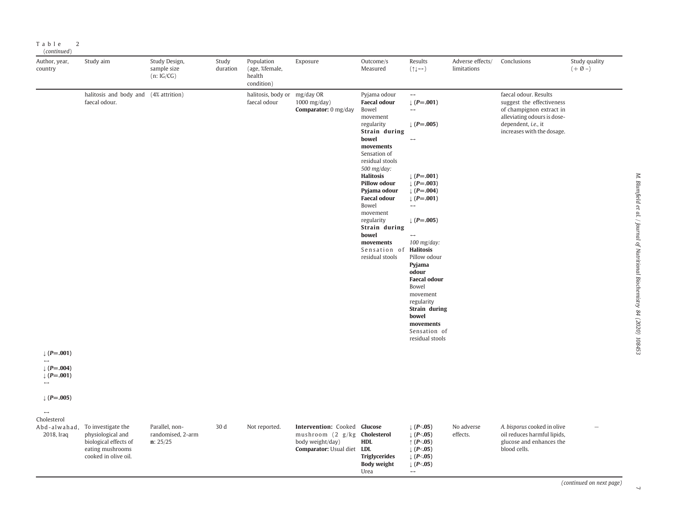| Author, year,<br>country                                                        | Study aim                                                                                                                 | Study Design,<br>sample size<br>(n:IG/CG)       | Study<br>duration | Population<br>(age, %female,<br>health<br>condition) | Exposure                                                                                                              | Outcome/s<br>Measured                                                                                                                                                                                                                                                                                                                                                    | Results<br>$(1 \rightarrow)$                                                                                                                                                                                                                                                                                                                                                                                                             | Adverse effects/<br>limitations | Conclusions                                                                                                                                                        | Study quality<br>$(+\emptyset-)$ |
|---------------------------------------------------------------------------------|---------------------------------------------------------------------------------------------------------------------------|-------------------------------------------------|-------------------|------------------------------------------------------|-----------------------------------------------------------------------------------------------------------------------|--------------------------------------------------------------------------------------------------------------------------------------------------------------------------------------------------------------------------------------------------------------------------------------------------------------------------------------------------------------------------|------------------------------------------------------------------------------------------------------------------------------------------------------------------------------------------------------------------------------------------------------------------------------------------------------------------------------------------------------------------------------------------------------------------------------------------|---------------------------------|--------------------------------------------------------------------------------------------------------------------------------------------------------------------|----------------------------------|
| $\downarrow$ (P=.001)<br>$( P = .004)$<br>$[ (P=.001)$<br>$\downarrow$ (P=.005) | halitosis and body and (4% attrition)<br>faecal odour.                                                                    |                                                 |                   | halitosis, body or mg/day OR<br>faecal odour         | 1000 mg/day)<br>Comparator: 0 mg/day                                                                                  | Pyjama odour<br><b>Faecal odour</b><br>Bowel<br>movement<br>regularity<br>Strain during<br>bowel<br>movements<br>Sensation of<br>residual stools<br>500 mg/day:<br><b>Halitosis</b><br><b>Pillow odour</b><br>Pyjama odour<br><b>Faecal odour</b><br>Bowel<br>movement<br>regularity<br>Strain during<br>bowel<br>movements<br>Sensation of Halitosis<br>residual stools | $\longrightarrow$<br>$( P = .001)$<br>$\mapsto$<br>$\downarrow$ (P=.005)<br>$\overline{\phantom{0}}$<br>$\downarrow$ (P=.001)<br>$( P = .003)$<br>$\downarrow$ (P=.004)<br>$\downarrow$ (P=.001)<br>$\longleftrightarrow$<br>$\downarrow$ (P=.005)<br>100 mg/day:<br>Pillow odour<br>Pyjama<br>odour<br><b>Faecal odour</b><br>Bowel<br>movement<br>regularity<br>Strain during<br>bowel<br>movements<br>Sensation of<br>residual stools |                                 | faecal odour. Results<br>suggest the effectiveness<br>of champignon extract in<br>alleviating odours is dose-<br>dependent, i.e., it<br>increases with the dosage. |                                  |
| $\rightarrow$<br>Cholesterol<br>2018, Iraq                                      | Abd-alwahad, To investigate the<br>physiological and<br>biological effects of<br>eating mushrooms<br>cooked in olive oil. | Parallel, non-<br>randomised, 2-arm<br>n: 25/25 | 30 d              | Not reported.                                        | Intervention: Cooked Glucose<br>mushroom (2 g/kg <b>Cholesterol</b><br>body weight/day)<br>Comparator: Usual diet LDL | <b>HDL</b><br><b>Triglycerides</b><br><b>Body weight</b><br>Urea                                                                                                                                                                                                                                                                                                         | $\downarrow$ (P<.05)<br>$\downarrow$ (P<.05)<br>$\uparrow$ (P<.05)<br>$\downarrow$ (P<.05)<br>$\downarrow$ (P<.05)<br>$\downarrow$ (P<.05)<br>$\longrightarrow$                                                                                                                                                                                                                                                                          | No adverse<br>effects.          | A. bisporus cooked in olive<br>oil reduces harmful lipids,<br>glucose and enhances the<br>blood cells.                                                             |                                  |

(continued on next page)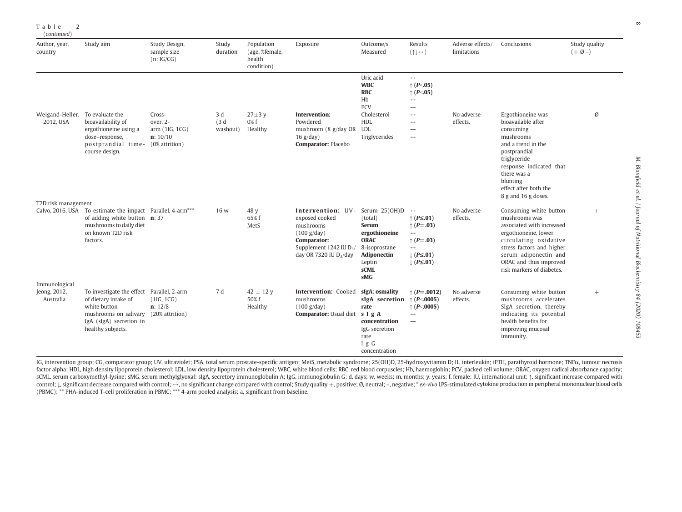| (continued)                                  |                                                                                                                                                                                |                                                                    |                         |                                                      |                                                                                                                                                               |                                                                                                                                                     |                                                                                                                                                                                                     |                                 |                                                                                                                                                                                                                                    |                                  |
|----------------------------------------------|--------------------------------------------------------------------------------------------------------------------------------------------------------------------------------|--------------------------------------------------------------------|-------------------------|------------------------------------------------------|---------------------------------------------------------------------------------------------------------------------------------------------------------------|-----------------------------------------------------------------------------------------------------------------------------------------------------|-----------------------------------------------------------------------------------------------------------------------------------------------------------------------------------------------------|---------------------------------|------------------------------------------------------------------------------------------------------------------------------------------------------------------------------------------------------------------------------------|----------------------------------|
| Author, year,<br>country                     | Study aim                                                                                                                                                                      | Study Design,<br>sample size<br>(n:IG/CG)                          | Study<br>duration       | Population<br>(age, %female,<br>health<br>condition) | Exposure                                                                                                                                                      | Outcome/s<br>Measured                                                                                                                               | Results<br>$(1 \rightarrow)$                                                                                                                                                                        | Adverse effects/<br>limitations | Conclusions                                                                                                                                                                                                                        | Study quality<br>$(+\emptyset-)$ |
| Weigand-Heller, To evaluate the<br>2012, USA | bioavailability of<br>ergothioneine using a<br>dose-response,<br>postprandial time-<br>course design.                                                                          | Cross-<br>over, 2-<br>arm (1IG, 1CG)<br>n: 10/10<br>(0% attrition) | 3 d<br>(3d)<br>washout) | $27\pm3$ y<br>$0\%$ f<br>Healthy                     | Intervention:<br>Powdered<br>mushroom (8 g/day OR LDL<br>$16$ g/day)<br>Comparator: Placebo                                                                   | Uric acid<br><b>WBC</b><br><b>RBC</b><br>Hb<br>PCV<br>Cholesterol<br>HDI.<br>Triglycerides                                                          | $\leftrightarrow$<br>$\uparrow$ (P<.05)<br>$\uparrow$ (P<.05)<br>$\leftrightarrow$<br>$\leftrightarrow$<br>$\leftrightarrow$<br>$\longleftrightarrow$<br>$\leftrightarrow$<br>$\longleftrightarrow$ | No adverse<br>effects.          | Ergothioneine was<br>bioavailable after<br>consuming<br>mushrooms<br>and a trend in the<br>postprandial<br>triglyceride<br>response indicated that<br>there was a<br>blunting<br>effect after both the                             | Ø                                |
| T2D risk management                          |                                                                                                                                                                                |                                                                    |                         |                                                      |                                                                                                                                                               |                                                                                                                                                     |                                                                                                                                                                                                     |                                 | 8 g and 16 g doses.                                                                                                                                                                                                                |                                  |
| Immunological                                | Calvo, 2016, USA To estimate the impact Parallel, 4-arm <sup>***</sup><br>of adding white button $\mathbf{n}$ : 37<br>mushrooms to daily diet<br>on known T2D risk<br>factors. |                                                                    | 16 w                    | 48 y<br>65% f<br>MetS                                | Intervention: UV-<br>exposed cooked<br>mushrooms<br>(100 g/day)<br>Comparator:<br>Supplement $1242$ IU D <sub>3</sub> /<br>day OR 7320 IU D <sub>3</sub> /day | Serum 25(OH)D $\leftrightarrow$<br>(total)<br><b>Serum</b><br>ergothioneine<br><b>ORAC</b><br>8-isoprostane<br>Adiponectin<br>Leptin<br>sCML<br>sMG | $\uparrow$ (P $\leq$ .01)<br>↑ ( $P = .03$ )<br>$\leftrightarrow$<br>↑ ( $P = .03$ )<br>$\leftrightarrow$<br>$\downarrow$ (P $\leq$ .01)<br>$\downarrow$ (P $\leq$ .01)                             | No adverse<br>effects.          | Consuming white button<br>mushrooms was<br>associated with increased<br>ergothioneine, lower<br>circulating oxidative<br>stress factors and higher<br>serum adiponectin and<br>ORAC and thus improved<br>risk markers of diabetes. | $^{+}$                           |
| Jeong, 2012,<br>Australia                    | To investigate the effect Parallel, 2-arm<br>of dietary intake of<br>white button<br>mushrooms on salivary<br>IgA (sIgA) secretion in<br>healthy subjects.                     | (1IG, 1CG)<br>n: 12/8<br>(20% attrition)                           | 7 d                     | $42 \pm 12$ V<br>50% f<br>Healthy                    | Intervention: Cooked<br>mushrooms<br>(100 g/day)<br>Comparator: Usual diet s I g A                                                                            | sIgA: osmality<br>sIgA secretion $\uparrow$ (P<.0005)<br>rate<br>concentration<br>IgG secretion<br>rate<br>I g G<br>concentration                   | $\uparrow$ (P=.0012)<br>$\uparrow$ (P<.0005)<br>$\rightarrow$<br>$\leftrightarrow$                                                                                                                  | No adverse<br>effects.          | Consuming white button<br>mushrooms accelerates<br>SIgA secretion, thereby<br>indicating its potential<br>health benefits for<br>improving mucosal<br>immunity.                                                                    | $+$                              |

Table

2

IG, intervention group; CG, comparator group; UV, ultraviolet; PSA, total serum prostate-specific antigen; MetS, metabolic syndrome; 25(OH)D, 25-hydroxyvitamin D; IL, interleukin; iPTH, parathyroid hormone; TNF $\alpha$ , tumour factor alpha; HDL, high density lipoprotein cholesterol; LDL, low density lipoprotein cholesterol; WBC, white blood cells; RBC, red blood corpuscles; Hb, haemoglobin; PCV, packed cell volume; ORAC, oxygen radical absorbanc sCML, serum carboxymethyl-lysine; sMG, serum methylglyoxal; sigA, secretory immunoglobulin A; IgG, immunoglobulin G; d, days; w, weeks; m, months; y, years; f, female; IU, international unit; 1, significant increase compar control; 1, significant decrease compared with control; -, no significant change compared with control; Study quality +, positive; Ø, neutral; -, negative; \* ex-vivo LPS-stimulated cytokine production in peripheral mononuc (PBMC); \*\* PHA-induced T-cell proliferation in PBMC; \*\*\* 4-arm pooled analysis; a, significant from baseline.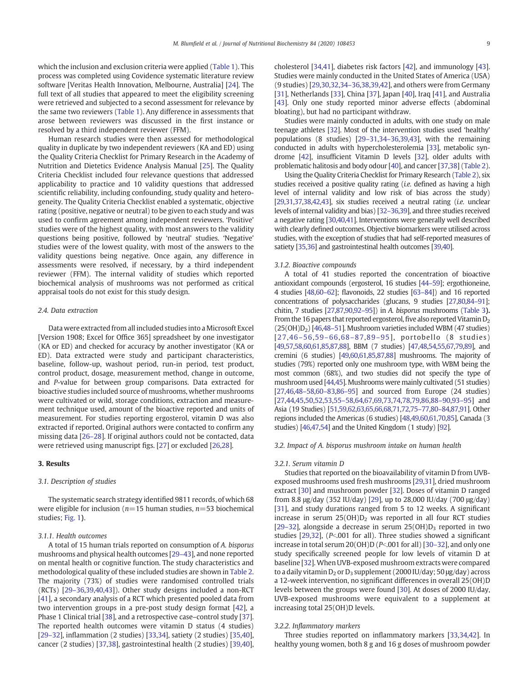which the inclusion and exclusion criteria were applied ([Table 1\)](#page-2-0). This process was completed using Covidence systematic literature review software [Veritas Health Innovation, Melbourne, Australia] [[24\]](#page-15-0). The full text of all studies that appeared to meet the eligibility screening were retrieved and subjected to a second assessment for relevance by the same two reviewers [\(Table 1](#page-2-0)). Any difference in assessments that arose between reviewers was discussed in the first instance or resolved by a third independent reviewer (FFM).

Human research studies were then assessed for methodological quality in duplicate by two independent reviewers (KA and ED) using the Quality Criteria Checklist for Primary Research in the Academy of Nutrition and Dietetics Evidence Analysis Manual [[25\]](#page-15-0). The Quality Criteria Checklist included four relevance questions that addressed applicability to practice and 10 validity questions that addressed scientific reliability, including confounding, study quality and heterogeneity. The Quality Criteria Checklist enabled a systematic, objective rating (positive, negative or neutral) to be given to each study and was used to confirm agreement among independent reviewers. 'Positive' studies were of the highest quality, with most answers to the validity questions being positive, followed by 'neutral' studies. 'Negative' studies were of the lowest quality, with most of the answers to the validity questions being negative. Once again, any difference in assessments were resolved, if necessary, by a third independent reviewer (FFM). The internal validity of studies which reported biochemical analysis of mushrooms was not performed as critical appraisal tools do not exist for this study design.

#### 2.4. Data extraction

Data were extracted from all included studies into a Microsoft Excel [Version 1908; Excel for Office 365] spreadsheet by one investigator (KA or ED) and checked for accuracy by another investigator (KA or ED). Data extracted were study and participant characteristics, baseline, follow-up, washout period, run-in period, test product, control product, dosage, measurement method, change in outcome, and P-value for between group comparisons. Data extracted for bioactive studies included source of mushrooms, whether mushrooms were cultivated or wild, storage conditions, extraction and measurement technique used, amount of the bioactive reported and units of measurement. For studies reporting ergosterol, vitamin D was also extracted if reported. Original authors were contacted to confirm any missing data [\[26](#page-15-0)–28]. If original authors could not be contacted, data were retrieved using manuscript figs. [\[27\]](#page-15-0) or excluded [\[26,28](#page-15-0)].

# 3. Results

# 3.1. Description of studies

The systematic search strategy identified 9811 records, of which 68 were eligible for inclusion ( $n=15$  human studies,  $n=53$  biochemical studies; [Fig. 1](#page-2-0)).

#### 3.1.1. Health outcomes

A total of 15 human trials reported on consumption of A. bisporus mushrooms and physical health outcomes [\[29](#page-15-0)–43], and none reported on mental health or cognitive function. The study characteristics and methodological quality of these included studies are shown in [Table 2.](#page-3-0) The majority (73%) of studies were randomised controlled trials (RCTs) [29–[36,39,40,43\]](#page-15-0)). Other study designs included a non-RCT [[41](#page-15-0)], a secondary analysis of a RCT which presented pooled data from two intervention groups in a pre-post study design format [\[42](#page-15-0)], a Phase 1 Clinical trial [\[38\]](#page-15-0), and a retrospective case–control study [[37\]](#page-15-0). The reported health outcomes were vitamin D status (4 studies) [29–[32\]](#page-15-0), inflammation (2 studies) [\[33,34](#page-15-0)], satiety (2 studies) [[35,40\]](#page-15-0), cancer (2 studies) [[37,38\]](#page-15-0), gastrointestinal health (2 studies) [[39,40\]](#page-15-0), cholesterol [[34](#page-15-0),[41\]](#page-15-0), diabetes risk factors [\[42](#page-15-0)], and immunology [[43](#page-15-0)]. Studies were mainly conducted in the United States of America (USA) (9 studies) [[29,30,32,](#page-15-0)34–[36,38,39,42](#page-15-0)], and others were from Germany [\[31](#page-15-0)], Netherlands [[33\]](#page-15-0), China [\[37](#page-15-0)], Japan [\[40](#page-15-0)], Iraq [[41\]](#page-15-0), and Australia [\[43](#page-15-0)]. Only one study reported minor adverse effects (abdominal bloating), but had no participant withdraw.

Studies were mainly conducted in adults, with one study on male teenage athletes [[32\]](#page-15-0). Most of the intervention studies used 'healthy' populations (8 studies) [\[29](#page-15-0)–31,[34](#page-15-0)–36[,39](#page-15-0),[43\]](#page-15-0), with the remaining conducted in adults with hypercholesterolemia [[33\]](#page-15-0), metabolic syndrome [\[42](#page-15-0)], insufficient Vitamin D levels [[32\]](#page-15-0), older adults with problematic halitosis and body odour [\[40](#page-15-0)], and cancer [[37,38](#page-15-0)] [\(Table 2](#page-3-0)).

Using the Quality Criteria Checklist for Primary Research ([Table 2](#page-3-0)), six studies received a positive quality rating (i.e. defined as having a high level of internal validity and low risk of bias across the study) [\[29,31](#page-15-0),[37,38,42](#page-15-0),[43](#page-15-0)], six studies received a neutral rating (i.e. unclear levels of internal validity and bias) [\[32](#page-15-0)–36,[39](#page-15-0)], and three studies received a negative rating [\[30,40,41](#page-15-0)]. Interventions were generally well described with clearly defined outcomes. Objective biomarkers were utilised across studies, with the exception of studies that had self-reported measures of satiety [\[35,36](#page-15-0)] and gastrointestinal health outcomes [\[39,40](#page-15-0)].

# 3.1.2. Bioactive compounds

A total of 41 studies reported the concentration of bioactive antioxidant compounds (ergosterol, 16 studies [[44](#page-16-0)–59]; ergothioneine, 4 studies [\[48,60](#page-16-0)–62]; flavonoids, 22 studies [\[63](#page-16-0)–84]) and 16 reported concentrations of polysaccharides (glucans, 9 studies [[27](#page-15-0)[,80,84](#page-16-0)–91]; chitin, 7 studies [[27](#page-15-0)[,87,90,92](#page-16-0)–95]) in A. bisporus mushrooms ([Table 3](#page-9-0)). From the 16 papers that reported ergosterol, five also reported Vitamin  $D<sub>2</sub>$ (25(OH)D2) [[46](#page-16-0),48–[51\]](#page-16-0). Mushroom varieties included WBM (47 studies) [[27,](#page-15-0)46-56,59-[66,](#page-16-0)68-[87,](#page-16-0)89-[95\]](#page-16-0), portobello (8 studies) [\[49,57](#page-16-0),[58,60,61](#page-16-0),[85,87,88](#page-16-0)], BBM (7 studies) [\[47](#page-16-0),[48,54,55,67,79,89](#page-16-0)], and cremini (6 studies) [\[49,60](#page-16-0),[61,85,87](#page-16-0),[88](#page-16-0)] mushrooms. The majority of studies (79%) reported only one mushroom type, with WBM being the most common (68%), and two studies did not specify the type of mushroom used [[44,45\]](#page-16-0). Mushrooms were mainly cultivated (51 studies) [\[27,](#page-15-0)[46,48](#page-16-0)–58[,60](#page-16-0)–83[,86](#page-16-0)–95] and sourced from Europe (24 studies) [\[27](#page-15-0)[,44,45,50,52,53,55](#page-16-0)–58,[64,67,69,73,74,78,79,86,88](#page-16-0)–90[,93](#page-16-0)–95] and Asia (19 Studies) [[51,59,62,63,65,66,68,71](#page-16-0),[72,75](#page-16-0)–77,[80](#page-16-0)–84[,87,91](#page-16-0)]. Other regions included the Americas (6 studies) [[48,49,60,61,70,85](#page-16-0)], Canada (3 studies) [\[46,47,54](#page-16-0)] and the United Kingdom (1 study) [\[92\]](#page-16-0).

# 3.2. Impact of A. bisporus mushroom intake on human health

#### 3.2.1. Serum vitamin D

Studies that reported on the bioavailability of vitamin D from UVBexposed mushrooms used fresh mushrooms [[29,31\]](#page-15-0), dried mushroom extract [\[30](#page-15-0)] and mushroom powder [\[32](#page-15-0)]. Doses of vitamin D ranged from 8.8 μg/day (352 IU/day) [\[29](#page-15-0)], up to 28,000 IU/day (700 μg/day) [\[31](#page-15-0)], and study durations ranged from 5 to 12 weeks. A significant increase in serum  $25(OH)D<sub>2</sub>$  was reported in all four RCT studies [29–[32\]](#page-15-0), alongside a decrease in serum  $25(OH)D<sub>3</sub>$  reported in two studies  $[29,32]$  $[29,32]$ ,  $[P<sub>0</sub>,001$  for all). Three studies showed a significant increase in total serum  $20(OH)D(P<.001$  for all) [[30](#page-15-0)–32], and only one study specifically screened people for low levels of vitamin D at baseline [\[32](#page-15-0)]. When UVB-exposed mushroom extracts were compared to a daily vitamin  $D_2$  or  $D_3$  supplement (2000 IU/day; 50  $\mu$ g/day) across a 12-week intervention, no significant differences in overall 25(OH)D levels between the groups were found [[30\]](#page-15-0). At doses of 2000 IU/day, UVB-exposed mushrooms were equivalent to a supplement at increasing total 25(OH)D levels.

# 3.2.2. Inflammatory markers

Three studies reported on inflammatory markers [\[33](#page-15-0),[34](#page-15-0),[42](#page-15-0)]. In healthy young women, both 8 g and 16 g doses of mushroom powder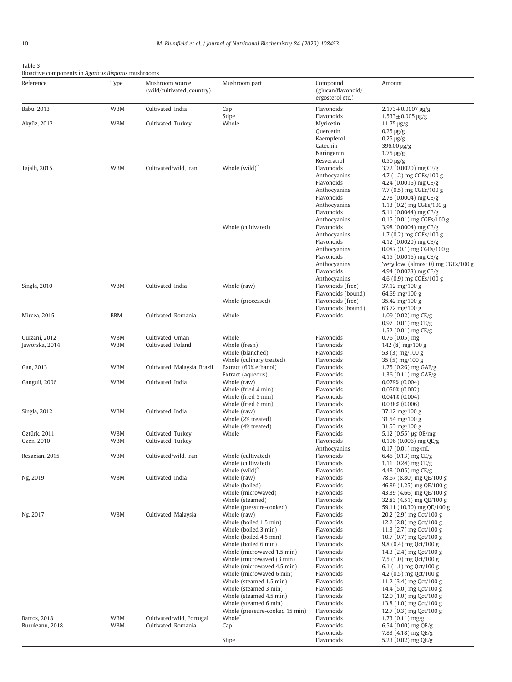<span id="page-9-0"></span>

Bioactive components in Agaricus Bisporus mushrooms

| Reference                       | Type                     | Mushroom source<br>(wild/cultivated, country)    | Mushroom part                                                                                                                                                                                  | Compound<br>(glucan/flavonoid/<br>ergosterol etc.)                                                     | Amount                                                                                                                                                                                               |
|---------------------------------|--------------------------|--------------------------------------------------|------------------------------------------------------------------------------------------------------------------------------------------------------------------------------------------------|--------------------------------------------------------------------------------------------------------|------------------------------------------------------------------------------------------------------------------------------------------------------------------------------------------------------|
| Babu, 2013                      | <b>WBM</b>               | Cultivated, India                                | Cap                                                                                                                                                                                            | Flavonoids                                                                                             | $2.173 \pm 0.0007$ µg/g                                                                                                                                                                              |
| Akyüz, 2012                     | <b>WBM</b>               | Cultivated, Turkey                               | Stipe<br>Whole                                                                                                                                                                                 | Flavonoids<br>Myricetin<br>Quercetin<br>Kaempferol                                                     | $1.533 \pm 0.005$ µg/g<br>$11.75 \,\mathrm{\mu g/g}$<br>$0.25 \,\mathrm{\mu g/g}$<br>$0.25 \,\mathrm{\mu g/g}$                                                                                       |
| Tajalli, 2015                   | <b>WBM</b>               | Cultivated/wild, Iran                            | Whole $(wild)$                                                                                                                                                                                 | Catechin<br>Naringenin<br>Resveratrol<br>Flavonoids<br>Anthocyanins<br>Flavonoids                      | $396.00 \,\mathrm{\mu g/g}$<br>$1.75 \,\mathrm{\mu g/g}$<br>$0.50 \,\mathrm{\mu g/g}$<br>3.72 (0.0020) mg CE/g<br>4.7 (1.2) mg CGEs/100 g<br>4.24 (0.0016) mg $CE/g$                                 |
|                                 |                          |                                                  | Whole (cultivated)                                                                                                                                                                             | Anthocyanins<br>Flavonoids<br>Anthocyanins<br>Flavonoids<br>Anthocyanins<br>Flavonoids                 | 7.7 (0.5) mg CGEs/100 g<br>2.78 (0.0004) mg CE/g<br>1.13 $(0.2)$ mg CGEs/100 g<br>5.11 (0.0044) mg $CE/g$<br>0.15 (0.01) mg CGEs/100 g<br>3.98 (0.0004) mg $CE/g$                                    |
|                                 |                          |                                                  |                                                                                                                                                                                                | Anthocyanins<br>Flavonoids<br>Anthocyanins<br>Flavonoids<br>Anthocyanins<br>Flavonoids<br>Anthocyanins | 1.7 (0.2) mg CGEs/100 g<br>4.12 (0.0020) mg CE/g<br>$0.087(0.1)$ mg CGEs/100 g<br>4.15 (0.0016) mg CE/g<br>'very low' (almost 0) mg CGEs/100 g<br>4.94 (0.0028) mg $CE/g$<br>4.6 (0.9) mg CGEs/100 g |
| Singla, 2010                    | <b>WBM</b>               | Cultivated, India                                | Whole (raw)                                                                                                                                                                                    | Flavonoids (free)<br>Flavonoids (bound)                                                                | 37.12 mg/100 g<br>64.69 mg/100 g                                                                                                                                                                     |
| Mircea, 2015                    | <b>BBM</b>               | Cultivated, Romania                              | Whole (processed)<br>Whole                                                                                                                                                                     | Flavonoids (free)<br>Flavonoids (bound)<br>Flavonoids                                                  | 35.42 mg/100 g<br>63.72 mg/100 g<br>1.09 $(0.02)$ mg CE/g                                                                                                                                            |
|                                 |                          |                                                  |                                                                                                                                                                                                |                                                                                                        | $0.97(0.01)$ mg CE/g<br>1.52 $(0.01)$ mg CE/g                                                                                                                                                        |
| Guizani, 2012<br>Jaworska, 2014 | <b>WBM</b><br><b>WBM</b> | Cultivated, Oman<br>Cultivated, Poland           | Whole<br>Whole (fresh)<br>Whole (blanched)                                                                                                                                                     | Flavonoids<br>Flavonoids<br>Flavonoids                                                                 | $0.76(0.05)$ mg<br>$142(8)$ mg/100 g<br>53 $(3)$ mg/100 g                                                                                                                                            |
| Gan, 2013                       | <b>WBM</b>               | Cultivated, Malaysia, Brazil                     | Whole (culinary treated)<br>Extract (60% ethanol)<br>Extract (aqueous)                                                                                                                         | Flavonoids<br>Flavonoids<br>Flavonoids                                                                 | $35(5)$ mg/100 g<br>1.75 $(0.26)$ mg GAE/g<br>1.36 $(0.11)$ mg GAE/g                                                                                                                                 |
| Ganguli, 2006                   | <b>WBM</b>               | Cultivated, India                                | Whole (raw)<br>Whole (fried 4 min)<br>Whole (fried 5 min)                                                                                                                                      | Flavonoids<br>Flavonoids<br>Flavonoids                                                                 | 0.079%(0.004)<br>$0.050\%$ (0.002)<br>$0.041\%$ (0.004)                                                                                                                                              |
| Singla, 2012                    | <b>WBM</b>               | Cultivated, India                                | Whole (fried 6 min)<br>Whole (raw)<br>Whole (2% treated)<br>Whole (4% treated)                                                                                                                 | Flavonoids<br>Flavonoids<br>Flavonoids<br>Flavonoids                                                   | $0.038\%$ $(0.006)$<br>37.12 mg/100 g<br>$31.54 \text{ mg}/100 \text{ g}$<br>31.53 mg/100 g                                                                                                          |
| Öztürk, 2011<br>Ozen, 2010      | <b>WBM</b><br><b>WBM</b> | Cultivated, Turkey<br>Cultivated, Turkey         | Whole                                                                                                                                                                                          | Flavonoids<br>Flavonoids<br>Anthocyanins                                                               | 5.12 $(0.55)$ µg QE/mg<br>$0.106(0.006)$ mg QE/g<br>$0.17(0.01)$ mg/mL                                                                                                                               |
| Rezaeian, 2015                  | <b>WBM</b>               | Cultivated/wild, Iran                            | Whole (cultivated)<br>Whole (cultivated)<br>Whole $(wild)$                                                                                                                                     | Flavonoids<br>Flavonoids<br>Flavonoids                                                                 | 6.46 (0.13) mg $CE/g$<br>1.11 $(0.24)$ mg CE/g<br>4.48 $(0.05)$ mg CE/g                                                                                                                              |
| Ng, 2019                        | <b>WBM</b>               | Cultivated, India                                | Whole (raw)<br>Whole (boiled)<br>Whole (microwaved)<br>Whole (steamed)                                                                                                                         | Flavonoids<br>Flavonoids<br>Flavonoids<br>Flavonoids<br>Flavonoids                                     | 78.67 (8.80) mg QE/100 g<br>46.89 (1.25) mg QE/100 g<br>43.39 (4.66) mg QE/100 g<br>32.83 (4.51) mg QE/100 g                                                                                         |
| Ng, 2017                        | <b>WBM</b>               | Cultivated, Malaysia                             | Whole (pressure-cooked)<br>Whole (raw)<br>Whole (boiled 1.5 min)<br>Whole (boiled 3 min)                                                                                                       | Flavonoids<br>Flavonoids<br>Flavonoids                                                                 | 59.11 (10.30) mg QE/100 g<br>$20.2$ (2.9) mg Qct/100 g<br>12.2 (2.8) mg Qct/100 g<br>11.3 (2.7) mg Qct/100 g                                                                                         |
|                                 |                          |                                                  | Whole (boiled 4.5 min)<br>Whole (boiled 6 min)<br>Whole (microwaved 1.5 min)<br>Whole (microwaved (3 min)<br>Whole (microwaved 4.5 min)<br>Whole (microwaved 6 min)<br>Whole (steamed 1.5 min) | Flavonoids<br>Flavonoids<br>Flavonoids<br>Flavonoids<br>Flavonoids<br>Flavonoids<br>Flavonoids         | 10.7 (0.7) mg Qct/100 g<br>9.8 (0.4) mg Qct/100 g<br>14.3 (2.4) mg Qct/100 g<br>7.5 (1.0) mg Qct/100 g<br>6.1 $(1.1)$ mg Qct/100 g<br>4.2 (0.5) mg Qct/100 g<br>11.2 (3.4) mg Qct/100 g              |
|                                 |                          |                                                  | Whole (steamed 3 min)<br>Whole (steamed 4.5 min)<br>Whole (steamed 6 min)                                                                                                                      | Flavonoids<br>Flavonoids<br>Flavonoids                                                                 | 14.4 (5.0) mg Qct/100 g<br>12.0 $(1.0)$ mg Qct/100 g<br>13.8 (1.0) mg Qct/100 g                                                                                                                      |
| Barros, 2018<br>Buruleanu, 2018 | <b>WBM</b><br><b>WBM</b> | Cultivated/wild, Portugal<br>Cultivated, Romania | Whole (pressure-cooked 15 min)<br>Whole <sup>^</sup><br>Cap                                                                                                                                    | Flavonoids<br>Flavonoids<br>Flavonoids                                                                 | 12.7 (0.3) mg Qct/100 g<br>$1.73(0.11)$ mg/g<br>6.54 (0.00) mg $QE/g$                                                                                                                                |
|                                 |                          |                                                  | Stipe                                                                                                                                                                                          | Flavonoids<br>Flavonoids                                                                               | 7.83 (4.18) mg QE/g<br>5.23 $(0.02)$ mg QE/g                                                                                                                                                         |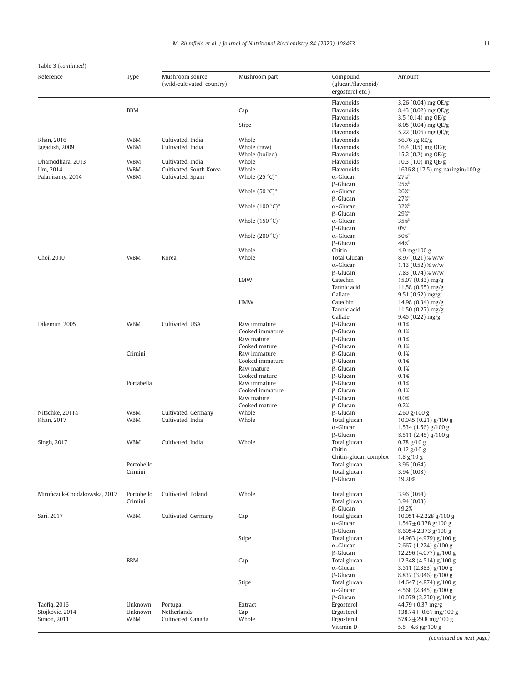# Table 3 (continued)

| Reference                   | Type       | Mushroom source<br>(wild/cultivated, country) | Mushroom part      | Compound<br>(glucan/flavonoid/<br>ergosterol etc.) | Amount                                                  |
|-----------------------------|------------|-----------------------------------------------|--------------------|----------------------------------------------------|---------------------------------------------------------|
|                             |            |                                               |                    | Flavonoids                                         | 3.26 $(0.04)$ mg QE/g                                   |
|                             | <b>BBM</b> |                                               | Cap                | Flavonoids                                         | 8.43 $(0.02)$ mg QE/g                                   |
|                             |            |                                               |                    | Flavonoids                                         | 3.5 $(0.14)$ mg QE/g                                    |
|                             |            |                                               | Stipe              | Flavonoids                                         | 8.05 $(0.04)$ mg QE/g                                   |
|                             |            |                                               |                    | Flavonoids                                         | 5.22 (0.06) mg $QE/g$                                   |
| Khan, 2016                  | <b>WBM</b> | Cultivated, India                             | Whole              | Flavonoids                                         | 56.76 μg RE/g                                           |
| Jagadish, 2009              | <b>WBM</b> | Cultivated, India                             | Whole (raw)        | Flavonoids                                         | 16.4 $(0.5)$ mg QE/g                                    |
|                             |            |                                               | Whole (boiled)     | Flavonoids                                         | 15.2 $(0.2)$ mg QE/g                                    |
| Dhamodhara, 2013            | <b>WBM</b> | Cultivated, India                             | Whole              | Flavonoids                                         | 10.3 $(1.0)$ mg QE/g                                    |
| Um, 2014                    | <b>WBM</b> | Cultivated, South Korea                       | Whole              | Flavonoids                                         | 1636.8 (17.5) mg naringin/100 g                         |
| Palanisamy, 2014            | <b>WBM</b> | Cultivated, Spain                             | Whole $(25 °C)*$   | $\alpha$ -Glucan                                   | 27%                                                     |
|                             |            |                                               |                    | $\beta$ -Glucan                                    | 25%                                                     |
|                             |            |                                               | Whole $(50 °C)*$   | $\alpha$ -Glucan                                   | $26\%$<br>27%                                           |
|                             |            |                                               | Whole $(100 °C)^*$ | $\beta$ -Glucan<br>$\alpha$ -Glucan                | 32%                                                     |
|                             |            |                                               |                    | $\beta$ -Glucan                                    | $29%^{a}$                                               |
|                             |            |                                               | Whole $(150 °C)*$  | $\alpha$ -Glucan                                   | 35%                                                     |
|                             |            |                                               |                    | $\beta$ -Glucan                                    | $0\%$ <sup>d</sup>                                      |
|                             |            |                                               | Whole $(200 °C)*$  | $\alpha$ -Glucan                                   | 50% <sup>a</sup>                                        |
|                             |            |                                               |                    | $\beta$ -Glucan                                    | 44% <sup>a</sup>                                        |
|                             |            |                                               | Whole              | Chitin                                             | 4.9 mg/100 g                                            |
| Choi, 2010                  | <b>WBM</b> | Korea                                         | Whole              | <b>Total Glucan</b>                                | $8.97(0.21)$ % w/w                                      |
|                             |            |                                               |                    | $\alpha$ -Glucan                                   | $1.13(0.52)$ % w/w                                      |
|                             |            |                                               |                    | $\beta$ -Glucan                                    | 7.83 $(0.74)$ % w/w                                     |
|                             |            |                                               | <b>LMW</b>         | Catechin                                           | $15.07(0.83)$ mg/g                                      |
|                             |            |                                               |                    | Tannic acid                                        | $11.58(0.65)$ mg/g                                      |
|                             |            |                                               |                    | Gallate                                            | $9.51(0.52)$ mg/g                                       |
|                             |            |                                               | <b>HMW</b>         | Catechin                                           | $14.98(0.34)$ mg/g                                      |
|                             |            |                                               |                    | Tannic acid                                        | $11.50(0.27)$ mg/g                                      |
| Dikeman, 2005               | <b>WBM</b> | Cultivated, USA                               | Raw immature       | Gallate<br>$\beta$ -Glucan                         | $9.45(0.22)$ mg/g<br>0.1%                               |
|                             |            |                                               | Cooked immature    | $\beta$ -Glucan                                    | 0.1%                                                    |
|                             |            |                                               | Raw mature         | $\beta$ -Glucan                                    | 0.1%                                                    |
|                             |            |                                               | Cooked mature      | $\beta$ -Glucan                                    | 0.1%                                                    |
|                             | Crimini    |                                               | Raw immature       | $\beta$ -Glucan                                    | 0.1%                                                    |
|                             |            |                                               | Cooked immature    | $\beta$ -Glucan                                    | 0.1%                                                    |
|                             |            |                                               | Raw mature         | $\beta$ -Glucan                                    | 0.1%                                                    |
|                             |            |                                               | Cooked mature      | $\beta$ -Glucan                                    | 0.1%                                                    |
|                             | Portabella |                                               | Raw immature       | $\beta$ -Glucan                                    | 0.1%                                                    |
|                             |            |                                               | Cooked immature    | $\beta$ -Glucan                                    | 0.1%                                                    |
|                             |            |                                               | Raw mature         | $\beta$ -Glucan                                    | 0.0%                                                    |
|                             |            |                                               | Cooked mature      | <b>B-Glucan</b>                                    | 0.2%                                                    |
| Nitschke, 2011a             | <b>WBM</b> | Cultivated, Germany                           | Whole              | <b>B-Glucan</b>                                    | $2.60$ g/100 g                                          |
| Khan, 2017                  | <b>WBM</b> | Cultivated, India                             | Whole              | Total glucan<br>$\alpha$ -Glucan                   | 10.045 $(0.21)$ g/100 g<br>1.534 (1.56) g/100 g         |
|                             |            |                                               |                    | $\beta$ -Glucan                                    | 8.511 $(2.45)$ g/100 g                                  |
| Singh, 2017                 | <b>WBM</b> | Cultivated, India                             | Whole              | Total glucan                                       | $0.78$ g/10 g                                           |
|                             |            |                                               |                    | Chitin                                             | $0.12$ g/10 g                                           |
|                             |            |                                               |                    | Chitin-glucan complex                              | $1.8 \text{ g}/10 \text{ g}$                            |
|                             | Portobello |                                               |                    | Total glucan                                       | 3.96(0.64)                                              |
|                             | Crimini    |                                               |                    | Total glucan                                       | 3.94(0.08)                                              |
|                             |            |                                               |                    | $\beta$ -Glucan                                    | 19.20%                                                  |
|                             |            |                                               |                    |                                                    |                                                         |
| Mirończuk-Chodakowska, 2017 | Portobello | Cultivated, Poland                            | Whole              | Total glucan                                       | 3.96(0.64)                                              |
|                             | Crimini    |                                               |                    | Total glucan                                       | 3.94(0.08)                                              |
|                             |            |                                               |                    | $\beta$ -Glucan                                    | 19.2%                                                   |
| Sari, 2017                  | <b>WBM</b> | Cultivated, Germany                           | Cap                | Total glucan                                       | $10.051 \pm 2.228$ g/100 g<br>$1.547 \pm 0.378$ g/100 g |
|                             |            |                                               |                    | $\alpha$ -Glucan<br>$\beta$ -Glucan                | $8.605 \pm 2.373$ g/100 g                               |
|                             |            |                                               | Stipe              | Total glucan                                       | 14.963 (4.979) g/100 g                                  |
|                             |            |                                               |                    | $\alpha$ -Glucan                                   | $2.667(1.224)$ g/100 g                                  |
|                             |            |                                               |                    | $\beta$ -Glucan                                    | 12.296 (4.077) g/100 g                                  |
|                             | <b>BBM</b> |                                               | Cap                | Total glucan                                       | 12.348 (4.514) g/100 g                                  |
|                             |            |                                               |                    | $\alpha$ -Glucan                                   | 3.511 (2.383) g/100 g                                   |
|                             |            |                                               |                    | $\beta$ -Glucan                                    | 8.837 (3.046) g/100 g                                   |
|                             |            |                                               | Stipe              | Total glucan                                       | 14.647 (4.874) g/100 g                                  |
|                             |            |                                               |                    | $\alpha$ -Glucan                                   | 4.568 $(2.845)$ g/100 g                                 |
|                             |            |                                               |                    | $\beta$ -Glucan                                    | $10.079(2.230)$ g/100 g                                 |
| Taofig, 2016                | Unknown    | Portugal                                      | Extract            | Ergosterol                                         | 44.79 $\pm$ 0.37 mg/g                                   |
| Stojkovic, 2014             | Unknown    | Netherlands                                   | Cap                | Ergosterol                                         | 138.74 $\pm$ 0.61 mg/100 g                              |
| Simon, 2011                 | <b>WBM</b> | Cultivated, Canada                            | Whole              | Ergosterol<br>Vitamin D                            | 578.2 $\pm$ 29.8 mg/100 g<br>$5.5 \pm 4.6$ µg/100 g     |
|                             |            |                                               |                    |                                                    |                                                         |

(continued on next page)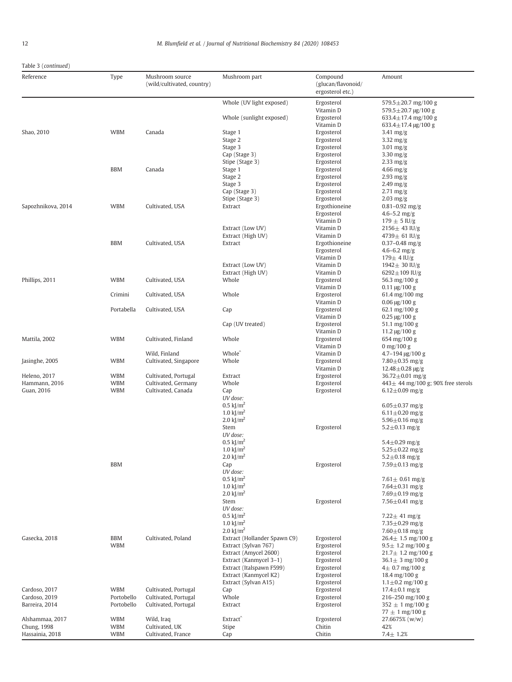# Table 3 (continued)

| Whole (UV light exposed)<br>Ergosterol<br>579.5 $\pm$ 20.7 mg/100 g<br>Vitamin D<br>579.5±20.7 μg/100 g<br>Whole (sunlight exposed)<br>Ergosterol<br>633.4 $\pm$ 17.4 mg/100 g<br>Vitamin D<br>$633.4 \pm 17.4 \text{ µg}/100 \text{ g}$<br>Shao, 2010<br><b>WBM</b><br>Canada<br>Ergosterol<br>Stage 1<br>$3.41 \text{ mg/g}$<br>Ergosterol<br>Stage 2<br>$3.32 \text{ mg/g}$<br>Stage 3<br>Ergosterol<br>$3.01$ mg/g<br>Cap (Stage 3)<br>Ergosterol<br>$3.30$ mg/g<br>Stipe (Stage 3)<br>Ergosterol<br>$2.33 \text{ mg/g}$<br><b>BBM</b><br>Canada<br>Stage 1<br>Ergosterol<br>$4.66$ mg/g<br>Stage 2<br>Ergosterol<br>$2.93$ mg/g<br>Ergosterol<br>Stage 3<br>$2.49$ mg/g<br>Cap (Stage 3)<br>Ergosterol<br>$2.71 \text{ mg/g}$<br>Stipe (Stage 3)<br>Ergosterol<br>$2.03$ mg/g<br>Sapozhnikova, 2014<br><b>WBM</b><br>Cultivated, USA<br>Ergothioneine<br>Extract<br>$0.81 - 0.92$ mg/g<br>Ergosterol<br>4.6 $-5.2$ mg/g<br>Vitamin D<br>$179 \pm 5$ IU/g<br>Extract (Low UV)<br>Vitamin D<br>$2156 \pm 43$ IU/g<br>Extract (High UV)<br>Vitamin D<br>4739 $\pm$ 61 IU/g<br><b>BBM</b><br>Cultivated, USA<br>Ergothioneine<br>Extract<br>$0.37 - 0.48$ mg/g<br>Ergosterol<br>$4.6 - 6.2$ mg/g<br>Vitamin D<br>$179 \pm 4$ IU/g<br>Extract (Low UV)<br>Vitamin D<br>1942 $\pm$ 30 IU/g<br>Extract (High UV)<br>Vitamin D<br>6292 $\pm$ 109 IU/g<br><b>WBM</b><br>Cultivated, USA<br>Whole<br>Ergosterol<br>Phillips, 2011<br>56.3 mg/100 g<br>Vitamin D<br>$0.11 \,\mathrm{\mu g} / 100 \,\mathrm{g}$<br>Crimini<br>Cultivated, USA<br>Whole<br>Ergosterol<br>61.4 mg/100 mg<br>Vitamin D<br>$0.06 \,\mathrm{\mu g} / 100 \,\mathrm{g}$<br>Portabella<br>Ergosterol<br>Cultivated, USA<br>Cap<br>62.1 mg/100 g<br>Vitamin D<br>$0.25 \,\mathrm{\mu g} / 100 \,\mathrm{g}$<br>Cap (UV treated)<br>Ergosterol<br>51.1 $mg/100 g$<br>Vitamin D<br>$11.2 \,\mathrm{\mu g} / 100 \,\mathrm{g}$<br><b>WBM</b><br>Cultivated, Finland<br>Whole<br>Ergosterol<br>Mattila, 2002<br>654 mg/100 g<br>Vitamin D<br>0 mg/100 g<br>Whole <sup>^</sup><br>Vitamin D<br>Wild, Finland<br>$4.7 - 194 \text{ µg}/100 \text{ g}$<br><b>WBM</b><br>Cultivated, Singapore<br>Ergosterol<br>Jasinghe, 2005<br>Whole<br>7.80 $\pm$ 0.35 mg/g<br>Vitamin D<br>$12.48 \pm 0.28$ µg/g<br>Heleno, 2017<br><b>WBM</b><br>Cultivated, Portugal<br>Ergosterol<br>Extract<br>36.72 $\pm$ 0.01 mg/g<br><b>WBM</b><br>Hammann, 2016<br>Cultivated, Germany<br>Whole<br>Ergosterol<br>$443 \pm 44$ mg/100 g; 90% free sterols<br>Guan, 2016<br><b>WBM</b><br>Cultivated, Canada<br>Ergosterol<br>Cap<br>$6.12 \pm 0.09$ mg/g<br>UV dose:<br>$0.5 \text{ kJ/m}^2$<br>$6.05 \pm 0.37$ mg/g<br>1.0 $\text{k}$ $\text{m}^2$<br>6.11 $\pm$ 0.20 mg/g<br>2.0 $\text{k}$ $\text{m}^2$<br>$5.96 \pm 0.16$ mg/g<br>Stem<br>Ergosterol<br>$5.2 \pm 0.13$ mg/g<br>UV dose:<br>$0.5 \text{ kJ/m}^2$<br>$5.4 \pm 0.29$ mg/g<br>1.0 $\text{kJ/m}^2$<br>5.25 $\pm$ 0.22 mg/g<br>$2.0 \text{ kJ/m}^2$<br>$5.2 \pm 0.18$ mg/g<br><b>BBM</b><br>Ergosterol<br>Cap<br>$7.59 \pm 0.13$ mg/g<br>UV dose:<br>$0.5 \text{ kJ/m}^2$<br>$7.61 \pm 0.61$ mg/g<br>1.0 kJ/ $\rm m^2$<br>$7.64 \pm 0.31$ mg/g<br>2.0 $\text{k}$ $\text{m}^2$<br>$7.69 + 0.19$ mg/g<br>Stem<br>Ergosterol<br>$7.56 \pm 0.41$ mg/g<br>UV dose:<br>$0.5 \text{ kJ/m}^2$<br>7.22 $\pm$ 41 mg/g<br>1.0 $k/m^2$<br>$7.35 \pm 0.29$ mg/g<br>2.0 $\text{kJ/m}^2$<br>$7.60 \pm 0.18$ mg/g<br>Gasecka, 2018<br><b>BBM</b><br>Cultivated, Poland<br>Extract (Hollander Spawn C9)<br>Ergosterol<br>$26.4 \pm 1.5$ mg/100 g<br><b>WBM</b><br>Extract (Sylvan 767)<br>Ergosterol<br>$9.5 \pm 1.2$ mg/100 g<br>Extract (Amycel 2600)<br>Ergosterol<br>$21.7 \pm 1.2$ mg/100 g<br>Extract (Kanmycel 3-1)<br>Ergosterol<br>$36.1 \pm 3$ mg/100 g<br>Extract (Italspawn F599)<br>Ergosterol<br>$4\pm 0.7$ mg/100 g<br>Extract (Kanmycel K2)<br>Ergosterol<br>18.4 mg/100 g<br>Extract (Sylvan A15)<br>Ergosterol<br>$1.1 \pm 0.2$ mg/100 g<br><b>WBM</b><br>Cardoso, 2017<br>Cultivated, Portugal<br>Ergosterol<br>Cap<br>$17.4 \pm 0.1$ mg/g<br>Portobello<br>Cultivated, Portugal<br>Whole<br>Cardoso, 2019<br>Ergosterol<br>216-250 mg/100 g<br>Barreira, 2014<br>Portobello<br>Cultivated, Portugal<br>Ergosterol<br>Extract<br>$352 \pm 1$ mg/100 g<br>$77 \pm 1$ mg/100 g<br>Extract<br>Alshammaa, 2017<br><b>WBM</b><br>Wild, Iraq<br>Ergosterol<br>27.6675% (w/w)<br><b>WBM</b><br>Cultivated, UK<br>Chitin<br>Chung, 1998<br>Stipe<br>42%<br>Hassainia, 2018<br>Cultivated, France<br><b>WBM</b><br>Cap<br>Chitin<br>$7.4 \pm 1.2%$ | Reference | Type | Mushroom source<br>(wild/cultivated, country) | Mushroom part | Compound<br>(glucan/flavonoid/<br>ergosterol etc.) | Amount |
|------------------------------------------------------------------------------------------------------------------------------------------------------------------------------------------------------------------------------------------------------------------------------------------------------------------------------------------------------------------------------------------------------------------------------------------------------------------------------------------------------------------------------------------------------------------------------------------------------------------------------------------------------------------------------------------------------------------------------------------------------------------------------------------------------------------------------------------------------------------------------------------------------------------------------------------------------------------------------------------------------------------------------------------------------------------------------------------------------------------------------------------------------------------------------------------------------------------------------------------------------------------------------------------------------------------------------------------------------------------------------------------------------------------------------------------------------------------------------------------------------------------------------------------------------------------------------------------------------------------------------------------------------------------------------------------------------------------------------------------------------------------------------------------------------------------------------------------------------------------------------------------------------------------------------------------------------------------------------------------------------------------------------------------------------------------------------------------------------------------------------------------------------------------------------------------------------------------------------------------------------------------------------------------------------------------------------------------------------------------------------------------------------------------------------------------------------------------------------------------------------------------------------------------------------------------------------------------------------------------------------------------------------------------------------------------------------------------------------------------------------------------------------------------------------------------------------------------------------------------------------------------------------------------------------------------------------------------------------------------------------------------------------------------------------------------------------------------------------------------------------------------------------------------------------------------------------------------------------------------------------------------------------------------------------------------------------------------------------------------------------------------------------------------------------------------------------------------------------------------------------------------------------------------------------------------------------------------------------------------------------------------------------------------------------------------------------------------------------------------------------------------------------------------------------------------------------------------------------------------------------------------------------------------------------------------------------------------------------------------------------------------------------------------------------------------------------------------------------------------------------------------------------------------------------------------------------------------------------------------------------------------------------------------------------------------------------------------------------------------------------------------------------------------------------------------------------------------------------------------------------------------------------------------------|-----------|------|-----------------------------------------------|---------------|----------------------------------------------------|--------|
|                                                                                                                                                                                                                                                                                                                                                                                                                                                                                                                                                                                                                                                                                                                                                                                                                                                                                                                                                                                                                                                                                                                                                                                                                                                                                                                                                                                                                                                                                                                                                                                                                                                                                                                                                                                                                                                                                                                                                                                                                                                                                                                                                                                                                                                                                                                                                                                                                                                                                                                                                                                                                                                                                                                                                                                                                                                                                                                                                                                                                                                                                                                                                                                                                                                                                                                                                                                                                                                                                                                                                                                                                                                                                                                                                                                                                                                                                                                                                                                                                                                                                                                                                                                                                                                                                                                                                                                                                                                                                                                                                |           |      |                                               |               |                                                    |        |
|                                                                                                                                                                                                                                                                                                                                                                                                                                                                                                                                                                                                                                                                                                                                                                                                                                                                                                                                                                                                                                                                                                                                                                                                                                                                                                                                                                                                                                                                                                                                                                                                                                                                                                                                                                                                                                                                                                                                                                                                                                                                                                                                                                                                                                                                                                                                                                                                                                                                                                                                                                                                                                                                                                                                                                                                                                                                                                                                                                                                                                                                                                                                                                                                                                                                                                                                                                                                                                                                                                                                                                                                                                                                                                                                                                                                                                                                                                                                                                                                                                                                                                                                                                                                                                                                                                                                                                                                                                                                                                                                                |           |      |                                               |               |                                                    |        |
|                                                                                                                                                                                                                                                                                                                                                                                                                                                                                                                                                                                                                                                                                                                                                                                                                                                                                                                                                                                                                                                                                                                                                                                                                                                                                                                                                                                                                                                                                                                                                                                                                                                                                                                                                                                                                                                                                                                                                                                                                                                                                                                                                                                                                                                                                                                                                                                                                                                                                                                                                                                                                                                                                                                                                                                                                                                                                                                                                                                                                                                                                                                                                                                                                                                                                                                                                                                                                                                                                                                                                                                                                                                                                                                                                                                                                                                                                                                                                                                                                                                                                                                                                                                                                                                                                                                                                                                                                                                                                                                                                |           |      |                                               |               |                                                    |        |
|                                                                                                                                                                                                                                                                                                                                                                                                                                                                                                                                                                                                                                                                                                                                                                                                                                                                                                                                                                                                                                                                                                                                                                                                                                                                                                                                                                                                                                                                                                                                                                                                                                                                                                                                                                                                                                                                                                                                                                                                                                                                                                                                                                                                                                                                                                                                                                                                                                                                                                                                                                                                                                                                                                                                                                                                                                                                                                                                                                                                                                                                                                                                                                                                                                                                                                                                                                                                                                                                                                                                                                                                                                                                                                                                                                                                                                                                                                                                                                                                                                                                                                                                                                                                                                                                                                                                                                                                                                                                                                                                                |           |      |                                               |               |                                                    |        |
|                                                                                                                                                                                                                                                                                                                                                                                                                                                                                                                                                                                                                                                                                                                                                                                                                                                                                                                                                                                                                                                                                                                                                                                                                                                                                                                                                                                                                                                                                                                                                                                                                                                                                                                                                                                                                                                                                                                                                                                                                                                                                                                                                                                                                                                                                                                                                                                                                                                                                                                                                                                                                                                                                                                                                                                                                                                                                                                                                                                                                                                                                                                                                                                                                                                                                                                                                                                                                                                                                                                                                                                                                                                                                                                                                                                                                                                                                                                                                                                                                                                                                                                                                                                                                                                                                                                                                                                                                                                                                                                                                |           |      |                                               |               |                                                    |        |
|                                                                                                                                                                                                                                                                                                                                                                                                                                                                                                                                                                                                                                                                                                                                                                                                                                                                                                                                                                                                                                                                                                                                                                                                                                                                                                                                                                                                                                                                                                                                                                                                                                                                                                                                                                                                                                                                                                                                                                                                                                                                                                                                                                                                                                                                                                                                                                                                                                                                                                                                                                                                                                                                                                                                                                                                                                                                                                                                                                                                                                                                                                                                                                                                                                                                                                                                                                                                                                                                                                                                                                                                                                                                                                                                                                                                                                                                                                                                                                                                                                                                                                                                                                                                                                                                                                                                                                                                                                                                                                                                                |           |      |                                               |               |                                                    |        |
|                                                                                                                                                                                                                                                                                                                                                                                                                                                                                                                                                                                                                                                                                                                                                                                                                                                                                                                                                                                                                                                                                                                                                                                                                                                                                                                                                                                                                                                                                                                                                                                                                                                                                                                                                                                                                                                                                                                                                                                                                                                                                                                                                                                                                                                                                                                                                                                                                                                                                                                                                                                                                                                                                                                                                                                                                                                                                                                                                                                                                                                                                                                                                                                                                                                                                                                                                                                                                                                                                                                                                                                                                                                                                                                                                                                                                                                                                                                                                                                                                                                                                                                                                                                                                                                                                                                                                                                                                                                                                                                                                |           |      |                                               |               |                                                    |        |
|                                                                                                                                                                                                                                                                                                                                                                                                                                                                                                                                                                                                                                                                                                                                                                                                                                                                                                                                                                                                                                                                                                                                                                                                                                                                                                                                                                                                                                                                                                                                                                                                                                                                                                                                                                                                                                                                                                                                                                                                                                                                                                                                                                                                                                                                                                                                                                                                                                                                                                                                                                                                                                                                                                                                                                                                                                                                                                                                                                                                                                                                                                                                                                                                                                                                                                                                                                                                                                                                                                                                                                                                                                                                                                                                                                                                                                                                                                                                                                                                                                                                                                                                                                                                                                                                                                                                                                                                                                                                                                                                                |           |      |                                               |               |                                                    |        |
|                                                                                                                                                                                                                                                                                                                                                                                                                                                                                                                                                                                                                                                                                                                                                                                                                                                                                                                                                                                                                                                                                                                                                                                                                                                                                                                                                                                                                                                                                                                                                                                                                                                                                                                                                                                                                                                                                                                                                                                                                                                                                                                                                                                                                                                                                                                                                                                                                                                                                                                                                                                                                                                                                                                                                                                                                                                                                                                                                                                                                                                                                                                                                                                                                                                                                                                                                                                                                                                                                                                                                                                                                                                                                                                                                                                                                                                                                                                                                                                                                                                                                                                                                                                                                                                                                                                                                                                                                                                                                                                                                |           |      |                                               |               |                                                    |        |
|                                                                                                                                                                                                                                                                                                                                                                                                                                                                                                                                                                                                                                                                                                                                                                                                                                                                                                                                                                                                                                                                                                                                                                                                                                                                                                                                                                                                                                                                                                                                                                                                                                                                                                                                                                                                                                                                                                                                                                                                                                                                                                                                                                                                                                                                                                                                                                                                                                                                                                                                                                                                                                                                                                                                                                                                                                                                                                                                                                                                                                                                                                                                                                                                                                                                                                                                                                                                                                                                                                                                                                                                                                                                                                                                                                                                                                                                                                                                                                                                                                                                                                                                                                                                                                                                                                                                                                                                                                                                                                                                                |           |      |                                               |               |                                                    |        |
|                                                                                                                                                                                                                                                                                                                                                                                                                                                                                                                                                                                                                                                                                                                                                                                                                                                                                                                                                                                                                                                                                                                                                                                                                                                                                                                                                                                                                                                                                                                                                                                                                                                                                                                                                                                                                                                                                                                                                                                                                                                                                                                                                                                                                                                                                                                                                                                                                                                                                                                                                                                                                                                                                                                                                                                                                                                                                                                                                                                                                                                                                                                                                                                                                                                                                                                                                                                                                                                                                                                                                                                                                                                                                                                                                                                                                                                                                                                                                                                                                                                                                                                                                                                                                                                                                                                                                                                                                                                                                                                                                |           |      |                                               |               |                                                    |        |
|                                                                                                                                                                                                                                                                                                                                                                                                                                                                                                                                                                                                                                                                                                                                                                                                                                                                                                                                                                                                                                                                                                                                                                                                                                                                                                                                                                                                                                                                                                                                                                                                                                                                                                                                                                                                                                                                                                                                                                                                                                                                                                                                                                                                                                                                                                                                                                                                                                                                                                                                                                                                                                                                                                                                                                                                                                                                                                                                                                                                                                                                                                                                                                                                                                                                                                                                                                                                                                                                                                                                                                                                                                                                                                                                                                                                                                                                                                                                                                                                                                                                                                                                                                                                                                                                                                                                                                                                                                                                                                                                                |           |      |                                               |               |                                                    |        |
|                                                                                                                                                                                                                                                                                                                                                                                                                                                                                                                                                                                                                                                                                                                                                                                                                                                                                                                                                                                                                                                                                                                                                                                                                                                                                                                                                                                                                                                                                                                                                                                                                                                                                                                                                                                                                                                                                                                                                                                                                                                                                                                                                                                                                                                                                                                                                                                                                                                                                                                                                                                                                                                                                                                                                                                                                                                                                                                                                                                                                                                                                                                                                                                                                                                                                                                                                                                                                                                                                                                                                                                                                                                                                                                                                                                                                                                                                                                                                                                                                                                                                                                                                                                                                                                                                                                                                                                                                                                                                                                                                |           |      |                                               |               |                                                    |        |
|                                                                                                                                                                                                                                                                                                                                                                                                                                                                                                                                                                                                                                                                                                                                                                                                                                                                                                                                                                                                                                                                                                                                                                                                                                                                                                                                                                                                                                                                                                                                                                                                                                                                                                                                                                                                                                                                                                                                                                                                                                                                                                                                                                                                                                                                                                                                                                                                                                                                                                                                                                                                                                                                                                                                                                                                                                                                                                                                                                                                                                                                                                                                                                                                                                                                                                                                                                                                                                                                                                                                                                                                                                                                                                                                                                                                                                                                                                                                                                                                                                                                                                                                                                                                                                                                                                                                                                                                                                                                                                                                                |           |      |                                               |               |                                                    |        |
|                                                                                                                                                                                                                                                                                                                                                                                                                                                                                                                                                                                                                                                                                                                                                                                                                                                                                                                                                                                                                                                                                                                                                                                                                                                                                                                                                                                                                                                                                                                                                                                                                                                                                                                                                                                                                                                                                                                                                                                                                                                                                                                                                                                                                                                                                                                                                                                                                                                                                                                                                                                                                                                                                                                                                                                                                                                                                                                                                                                                                                                                                                                                                                                                                                                                                                                                                                                                                                                                                                                                                                                                                                                                                                                                                                                                                                                                                                                                                                                                                                                                                                                                                                                                                                                                                                                                                                                                                                                                                                                                                |           |      |                                               |               |                                                    |        |
|                                                                                                                                                                                                                                                                                                                                                                                                                                                                                                                                                                                                                                                                                                                                                                                                                                                                                                                                                                                                                                                                                                                                                                                                                                                                                                                                                                                                                                                                                                                                                                                                                                                                                                                                                                                                                                                                                                                                                                                                                                                                                                                                                                                                                                                                                                                                                                                                                                                                                                                                                                                                                                                                                                                                                                                                                                                                                                                                                                                                                                                                                                                                                                                                                                                                                                                                                                                                                                                                                                                                                                                                                                                                                                                                                                                                                                                                                                                                                                                                                                                                                                                                                                                                                                                                                                                                                                                                                                                                                                                                                |           |      |                                               |               |                                                    |        |
|                                                                                                                                                                                                                                                                                                                                                                                                                                                                                                                                                                                                                                                                                                                                                                                                                                                                                                                                                                                                                                                                                                                                                                                                                                                                                                                                                                                                                                                                                                                                                                                                                                                                                                                                                                                                                                                                                                                                                                                                                                                                                                                                                                                                                                                                                                                                                                                                                                                                                                                                                                                                                                                                                                                                                                                                                                                                                                                                                                                                                                                                                                                                                                                                                                                                                                                                                                                                                                                                                                                                                                                                                                                                                                                                                                                                                                                                                                                                                                                                                                                                                                                                                                                                                                                                                                                                                                                                                                                                                                                                                |           |      |                                               |               |                                                    |        |
|                                                                                                                                                                                                                                                                                                                                                                                                                                                                                                                                                                                                                                                                                                                                                                                                                                                                                                                                                                                                                                                                                                                                                                                                                                                                                                                                                                                                                                                                                                                                                                                                                                                                                                                                                                                                                                                                                                                                                                                                                                                                                                                                                                                                                                                                                                                                                                                                                                                                                                                                                                                                                                                                                                                                                                                                                                                                                                                                                                                                                                                                                                                                                                                                                                                                                                                                                                                                                                                                                                                                                                                                                                                                                                                                                                                                                                                                                                                                                                                                                                                                                                                                                                                                                                                                                                                                                                                                                                                                                                                                                |           |      |                                               |               |                                                    |        |
|                                                                                                                                                                                                                                                                                                                                                                                                                                                                                                                                                                                                                                                                                                                                                                                                                                                                                                                                                                                                                                                                                                                                                                                                                                                                                                                                                                                                                                                                                                                                                                                                                                                                                                                                                                                                                                                                                                                                                                                                                                                                                                                                                                                                                                                                                                                                                                                                                                                                                                                                                                                                                                                                                                                                                                                                                                                                                                                                                                                                                                                                                                                                                                                                                                                                                                                                                                                                                                                                                                                                                                                                                                                                                                                                                                                                                                                                                                                                                                                                                                                                                                                                                                                                                                                                                                                                                                                                                                                                                                                                                |           |      |                                               |               |                                                    |        |
|                                                                                                                                                                                                                                                                                                                                                                                                                                                                                                                                                                                                                                                                                                                                                                                                                                                                                                                                                                                                                                                                                                                                                                                                                                                                                                                                                                                                                                                                                                                                                                                                                                                                                                                                                                                                                                                                                                                                                                                                                                                                                                                                                                                                                                                                                                                                                                                                                                                                                                                                                                                                                                                                                                                                                                                                                                                                                                                                                                                                                                                                                                                                                                                                                                                                                                                                                                                                                                                                                                                                                                                                                                                                                                                                                                                                                                                                                                                                                                                                                                                                                                                                                                                                                                                                                                                                                                                                                                                                                                                                                |           |      |                                               |               |                                                    |        |
|                                                                                                                                                                                                                                                                                                                                                                                                                                                                                                                                                                                                                                                                                                                                                                                                                                                                                                                                                                                                                                                                                                                                                                                                                                                                                                                                                                                                                                                                                                                                                                                                                                                                                                                                                                                                                                                                                                                                                                                                                                                                                                                                                                                                                                                                                                                                                                                                                                                                                                                                                                                                                                                                                                                                                                                                                                                                                                                                                                                                                                                                                                                                                                                                                                                                                                                                                                                                                                                                                                                                                                                                                                                                                                                                                                                                                                                                                                                                                                                                                                                                                                                                                                                                                                                                                                                                                                                                                                                                                                                                                |           |      |                                               |               |                                                    |        |
|                                                                                                                                                                                                                                                                                                                                                                                                                                                                                                                                                                                                                                                                                                                                                                                                                                                                                                                                                                                                                                                                                                                                                                                                                                                                                                                                                                                                                                                                                                                                                                                                                                                                                                                                                                                                                                                                                                                                                                                                                                                                                                                                                                                                                                                                                                                                                                                                                                                                                                                                                                                                                                                                                                                                                                                                                                                                                                                                                                                                                                                                                                                                                                                                                                                                                                                                                                                                                                                                                                                                                                                                                                                                                                                                                                                                                                                                                                                                                                                                                                                                                                                                                                                                                                                                                                                                                                                                                                                                                                                                                |           |      |                                               |               |                                                    |        |
|                                                                                                                                                                                                                                                                                                                                                                                                                                                                                                                                                                                                                                                                                                                                                                                                                                                                                                                                                                                                                                                                                                                                                                                                                                                                                                                                                                                                                                                                                                                                                                                                                                                                                                                                                                                                                                                                                                                                                                                                                                                                                                                                                                                                                                                                                                                                                                                                                                                                                                                                                                                                                                                                                                                                                                                                                                                                                                                                                                                                                                                                                                                                                                                                                                                                                                                                                                                                                                                                                                                                                                                                                                                                                                                                                                                                                                                                                                                                                                                                                                                                                                                                                                                                                                                                                                                                                                                                                                                                                                                                                |           |      |                                               |               |                                                    |        |
|                                                                                                                                                                                                                                                                                                                                                                                                                                                                                                                                                                                                                                                                                                                                                                                                                                                                                                                                                                                                                                                                                                                                                                                                                                                                                                                                                                                                                                                                                                                                                                                                                                                                                                                                                                                                                                                                                                                                                                                                                                                                                                                                                                                                                                                                                                                                                                                                                                                                                                                                                                                                                                                                                                                                                                                                                                                                                                                                                                                                                                                                                                                                                                                                                                                                                                                                                                                                                                                                                                                                                                                                                                                                                                                                                                                                                                                                                                                                                                                                                                                                                                                                                                                                                                                                                                                                                                                                                                                                                                                                                |           |      |                                               |               |                                                    |        |
|                                                                                                                                                                                                                                                                                                                                                                                                                                                                                                                                                                                                                                                                                                                                                                                                                                                                                                                                                                                                                                                                                                                                                                                                                                                                                                                                                                                                                                                                                                                                                                                                                                                                                                                                                                                                                                                                                                                                                                                                                                                                                                                                                                                                                                                                                                                                                                                                                                                                                                                                                                                                                                                                                                                                                                                                                                                                                                                                                                                                                                                                                                                                                                                                                                                                                                                                                                                                                                                                                                                                                                                                                                                                                                                                                                                                                                                                                                                                                                                                                                                                                                                                                                                                                                                                                                                                                                                                                                                                                                                                                |           |      |                                               |               |                                                    |        |
|                                                                                                                                                                                                                                                                                                                                                                                                                                                                                                                                                                                                                                                                                                                                                                                                                                                                                                                                                                                                                                                                                                                                                                                                                                                                                                                                                                                                                                                                                                                                                                                                                                                                                                                                                                                                                                                                                                                                                                                                                                                                                                                                                                                                                                                                                                                                                                                                                                                                                                                                                                                                                                                                                                                                                                                                                                                                                                                                                                                                                                                                                                                                                                                                                                                                                                                                                                                                                                                                                                                                                                                                                                                                                                                                                                                                                                                                                                                                                                                                                                                                                                                                                                                                                                                                                                                                                                                                                                                                                                                                                |           |      |                                               |               |                                                    |        |
|                                                                                                                                                                                                                                                                                                                                                                                                                                                                                                                                                                                                                                                                                                                                                                                                                                                                                                                                                                                                                                                                                                                                                                                                                                                                                                                                                                                                                                                                                                                                                                                                                                                                                                                                                                                                                                                                                                                                                                                                                                                                                                                                                                                                                                                                                                                                                                                                                                                                                                                                                                                                                                                                                                                                                                                                                                                                                                                                                                                                                                                                                                                                                                                                                                                                                                                                                                                                                                                                                                                                                                                                                                                                                                                                                                                                                                                                                                                                                                                                                                                                                                                                                                                                                                                                                                                                                                                                                                                                                                                                                |           |      |                                               |               |                                                    |        |
|                                                                                                                                                                                                                                                                                                                                                                                                                                                                                                                                                                                                                                                                                                                                                                                                                                                                                                                                                                                                                                                                                                                                                                                                                                                                                                                                                                                                                                                                                                                                                                                                                                                                                                                                                                                                                                                                                                                                                                                                                                                                                                                                                                                                                                                                                                                                                                                                                                                                                                                                                                                                                                                                                                                                                                                                                                                                                                                                                                                                                                                                                                                                                                                                                                                                                                                                                                                                                                                                                                                                                                                                                                                                                                                                                                                                                                                                                                                                                                                                                                                                                                                                                                                                                                                                                                                                                                                                                                                                                                                                                |           |      |                                               |               |                                                    |        |
|                                                                                                                                                                                                                                                                                                                                                                                                                                                                                                                                                                                                                                                                                                                                                                                                                                                                                                                                                                                                                                                                                                                                                                                                                                                                                                                                                                                                                                                                                                                                                                                                                                                                                                                                                                                                                                                                                                                                                                                                                                                                                                                                                                                                                                                                                                                                                                                                                                                                                                                                                                                                                                                                                                                                                                                                                                                                                                                                                                                                                                                                                                                                                                                                                                                                                                                                                                                                                                                                                                                                                                                                                                                                                                                                                                                                                                                                                                                                                                                                                                                                                                                                                                                                                                                                                                                                                                                                                                                                                                                                                |           |      |                                               |               |                                                    |        |
|                                                                                                                                                                                                                                                                                                                                                                                                                                                                                                                                                                                                                                                                                                                                                                                                                                                                                                                                                                                                                                                                                                                                                                                                                                                                                                                                                                                                                                                                                                                                                                                                                                                                                                                                                                                                                                                                                                                                                                                                                                                                                                                                                                                                                                                                                                                                                                                                                                                                                                                                                                                                                                                                                                                                                                                                                                                                                                                                                                                                                                                                                                                                                                                                                                                                                                                                                                                                                                                                                                                                                                                                                                                                                                                                                                                                                                                                                                                                                                                                                                                                                                                                                                                                                                                                                                                                                                                                                                                                                                                                                |           |      |                                               |               |                                                    |        |
|                                                                                                                                                                                                                                                                                                                                                                                                                                                                                                                                                                                                                                                                                                                                                                                                                                                                                                                                                                                                                                                                                                                                                                                                                                                                                                                                                                                                                                                                                                                                                                                                                                                                                                                                                                                                                                                                                                                                                                                                                                                                                                                                                                                                                                                                                                                                                                                                                                                                                                                                                                                                                                                                                                                                                                                                                                                                                                                                                                                                                                                                                                                                                                                                                                                                                                                                                                                                                                                                                                                                                                                                                                                                                                                                                                                                                                                                                                                                                                                                                                                                                                                                                                                                                                                                                                                                                                                                                                                                                                                                                |           |      |                                               |               |                                                    |        |
|                                                                                                                                                                                                                                                                                                                                                                                                                                                                                                                                                                                                                                                                                                                                                                                                                                                                                                                                                                                                                                                                                                                                                                                                                                                                                                                                                                                                                                                                                                                                                                                                                                                                                                                                                                                                                                                                                                                                                                                                                                                                                                                                                                                                                                                                                                                                                                                                                                                                                                                                                                                                                                                                                                                                                                                                                                                                                                                                                                                                                                                                                                                                                                                                                                                                                                                                                                                                                                                                                                                                                                                                                                                                                                                                                                                                                                                                                                                                                                                                                                                                                                                                                                                                                                                                                                                                                                                                                                                                                                                                                |           |      |                                               |               |                                                    |        |
|                                                                                                                                                                                                                                                                                                                                                                                                                                                                                                                                                                                                                                                                                                                                                                                                                                                                                                                                                                                                                                                                                                                                                                                                                                                                                                                                                                                                                                                                                                                                                                                                                                                                                                                                                                                                                                                                                                                                                                                                                                                                                                                                                                                                                                                                                                                                                                                                                                                                                                                                                                                                                                                                                                                                                                                                                                                                                                                                                                                                                                                                                                                                                                                                                                                                                                                                                                                                                                                                                                                                                                                                                                                                                                                                                                                                                                                                                                                                                                                                                                                                                                                                                                                                                                                                                                                                                                                                                                                                                                                                                |           |      |                                               |               |                                                    |        |
|                                                                                                                                                                                                                                                                                                                                                                                                                                                                                                                                                                                                                                                                                                                                                                                                                                                                                                                                                                                                                                                                                                                                                                                                                                                                                                                                                                                                                                                                                                                                                                                                                                                                                                                                                                                                                                                                                                                                                                                                                                                                                                                                                                                                                                                                                                                                                                                                                                                                                                                                                                                                                                                                                                                                                                                                                                                                                                                                                                                                                                                                                                                                                                                                                                                                                                                                                                                                                                                                                                                                                                                                                                                                                                                                                                                                                                                                                                                                                                                                                                                                                                                                                                                                                                                                                                                                                                                                                                                                                                                                                |           |      |                                               |               |                                                    |        |
|                                                                                                                                                                                                                                                                                                                                                                                                                                                                                                                                                                                                                                                                                                                                                                                                                                                                                                                                                                                                                                                                                                                                                                                                                                                                                                                                                                                                                                                                                                                                                                                                                                                                                                                                                                                                                                                                                                                                                                                                                                                                                                                                                                                                                                                                                                                                                                                                                                                                                                                                                                                                                                                                                                                                                                                                                                                                                                                                                                                                                                                                                                                                                                                                                                                                                                                                                                                                                                                                                                                                                                                                                                                                                                                                                                                                                                                                                                                                                                                                                                                                                                                                                                                                                                                                                                                                                                                                                                                                                                                                                |           |      |                                               |               |                                                    |        |
|                                                                                                                                                                                                                                                                                                                                                                                                                                                                                                                                                                                                                                                                                                                                                                                                                                                                                                                                                                                                                                                                                                                                                                                                                                                                                                                                                                                                                                                                                                                                                                                                                                                                                                                                                                                                                                                                                                                                                                                                                                                                                                                                                                                                                                                                                                                                                                                                                                                                                                                                                                                                                                                                                                                                                                                                                                                                                                                                                                                                                                                                                                                                                                                                                                                                                                                                                                                                                                                                                                                                                                                                                                                                                                                                                                                                                                                                                                                                                                                                                                                                                                                                                                                                                                                                                                                                                                                                                                                                                                                                                |           |      |                                               |               |                                                    |        |
|                                                                                                                                                                                                                                                                                                                                                                                                                                                                                                                                                                                                                                                                                                                                                                                                                                                                                                                                                                                                                                                                                                                                                                                                                                                                                                                                                                                                                                                                                                                                                                                                                                                                                                                                                                                                                                                                                                                                                                                                                                                                                                                                                                                                                                                                                                                                                                                                                                                                                                                                                                                                                                                                                                                                                                                                                                                                                                                                                                                                                                                                                                                                                                                                                                                                                                                                                                                                                                                                                                                                                                                                                                                                                                                                                                                                                                                                                                                                                                                                                                                                                                                                                                                                                                                                                                                                                                                                                                                                                                                                                |           |      |                                               |               |                                                    |        |
|                                                                                                                                                                                                                                                                                                                                                                                                                                                                                                                                                                                                                                                                                                                                                                                                                                                                                                                                                                                                                                                                                                                                                                                                                                                                                                                                                                                                                                                                                                                                                                                                                                                                                                                                                                                                                                                                                                                                                                                                                                                                                                                                                                                                                                                                                                                                                                                                                                                                                                                                                                                                                                                                                                                                                                                                                                                                                                                                                                                                                                                                                                                                                                                                                                                                                                                                                                                                                                                                                                                                                                                                                                                                                                                                                                                                                                                                                                                                                                                                                                                                                                                                                                                                                                                                                                                                                                                                                                                                                                                                                |           |      |                                               |               |                                                    |        |
|                                                                                                                                                                                                                                                                                                                                                                                                                                                                                                                                                                                                                                                                                                                                                                                                                                                                                                                                                                                                                                                                                                                                                                                                                                                                                                                                                                                                                                                                                                                                                                                                                                                                                                                                                                                                                                                                                                                                                                                                                                                                                                                                                                                                                                                                                                                                                                                                                                                                                                                                                                                                                                                                                                                                                                                                                                                                                                                                                                                                                                                                                                                                                                                                                                                                                                                                                                                                                                                                                                                                                                                                                                                                                                                                                                                                                                                                                                                                                                                                                                                                                                                                                                                                                                                                                                                                                                                                                                                                                                                                                |           |      |                                               |               |                                                    |        |
|                                                                                                                                                                                                                                                                                                                                                                                                                                                                                                                                                                                                                                                                                                                                                                                                                                                                                                                                                                                                                                                                                                                                                                                                                                                                                                                                                                                                                                                                                                                                                                                                                                                                                                                                                                                                                                                                                                                                                                                                                                                                                                                                                                                                                                                                                                                                                                                                                                                                                                                                                                                                                                                                                                                                                                                                                                                                                                                                                                                                                                                                                                                                                                                                                                                                                                                                                                                                                                                                                                                                                                                                                                                                                                                                                                                                                                                                                                                                                                                                                                                                                                                                                                                                                                                                                                                                                                                                                                                                                                                                                |           |      |                                               |               |                                                    |        |
|                                                                                                                                                                                                                                                                                                                                                                                                                                                                                                                                                                                                                                                                                                                                                                                                                                                                                                                                                                                                                                                                                                                                                                                                                                                                                                                                                                                                                                                                                                                                                                                                                                                                                                                                                                                                                                                                                                                                                                                                                                                                                                                                                                                                                                                                                                                                                                                                                                                                                                                                                                                                                                                                                                                                                                                                                                                                                                                                                                                                                                                                                                                                                                                                                                                                                                                                                                                                                                                                                                                                                                                                                                                                                                                                                                                                                                                                                                                                                                                                                                                                                                                                                                                                                                                                                                                                                                                                                                                                                                                                                |           |      |                                               |               |                                                    |        |
|                                                                                                                                                                                                                                                                                                                                                                                                                                                                                                                                                                                                                                                                                                                                                                                                                                                                                                                                                                                                                                                                                                                                                                                                                                                                                                                                                                                                                                                                                                                                                                                                                                                                                                                                                                                                                                                                                                                                                                                                                                                                                                                                                                                                                                                                                                                                                                                                                                                                                                                                                                                                                                                                                                                                                                                                                                                                                                                                                                                                                                                                                                                                                                                                                                                                                                                                                                                                                                                                                                                                                                                                                                                                                                                                                                                                                                                                                                                                                                                                                                                                                                                                                                                                                                                                                                                                                                                                                                                                                                                                                |           |      |                                               |               |                                                    |        |
|                                                                                                                                                                                                                                                                                                                                                                                                                                                                                                                                                                                                                                                                                                                                                                                                                                                                                                                                                                                                                                                                                                                                                                                                                                                                                                                                                                                                                                                                                                                                                                                                                                                                                                                                                                                                                                                                                                                                                                                                                                                                                                                                                                                                                                                                                                                                                                                                                                                                                                                                                                                                                                                                                                                                                                                                                                                                                                                                                                                                                                                                                                                                                                                                                                                                                                                                                                                                                                                                                                                                                                                                                                                                                                                                                                                                                                                                                                                                                                                                                                                                                                                                                                                                                                                                                                                                                                                                                                                                                                                                                |           |      |                                               |               |                                                    |        |
|                                                                                                                                                                                                                                                                                                                                                                                                                                                                                                                                                                                                                                                                                                                                                                                                                                                                                                                                                                                                                                                                                                                                                                                                                                                                                                                                                                                                                                                                                                                                                                                                                                                                                                                                                                                                                                                                                                                                                                                                                                                                                                                                                                                                                                                                                                                                                                                                                                                                                                                                                                                                                                                                                                                                                                                                                                                                                                                                                                                                                                                                                                                                                                                                                                                                                                                                                                                                                                                                                                                                                                                                                                                                                                                                                                                                                                                                                                                                                                                                                                                                                                                                                                                                                                                                                                                                                                                                                                                                                                                                                |           |      |                                               |               |                                                    |        |
|                                                                                                                                                                                                                                                                                                                                                                                                                                                                                                                                                                                                                                                                                                                                                                                                                                                                                                                                                                                                                                                                                                                                                                                                                                                                                                                                                                                                                                                                                                                                                                                                                                                                                                                                                                                                                                                                                                                                                                                                                                                                                                                                                                                                                                                                                                                                                                                                                                                                                                                                                                                                                                                                                                                                                                                                                                                                                                                                                                                                                                                                                                                                                                                                                                                                                                                                                                                                                                                                                                                                                                                                                                                                                                                                                                                                                                                                                                                                                                                                                                                                                                                                                                                                                                                                                                                                                                                                                                                                                                                                                |           |      |                                               |               |                                                    |        |
|                                                                                                                                                                                                                                                                                                                                                                                                                                                                                                                                                                                                                                                                                                                                                                                                                                                                                                                                                                                                                                                                                                                                                                                                                                                                                                                                                                                                                                                                                                                                                                                                                                                                                                                                                                                                                                                                                                                                                                                                                                                                                                                                                                                                                                                                                                                                                                                                                                                                                                                                                                                                                                                                                                                                                                                                                                                                                                                                                                                                                                                                                                                                                                                                                                                                                                                                                                                                                                                                                                                                                                                                                                                                                                                                                                                                                                                                                                                                                                                                                                                                                                                                                                                                                                                                                                                                                                                                                                                                                                                                                |           |      |                                               |               |                                                    |        |
|                                                                                                                                                                                                                                                                                                                                                                                                                                                                                                                                                                                                                                                                                                                                                                                                                                                                                                                                                                                                                                                                                                                                                                                                                                                                                                                                                                                                                                                                                                                                                                                                                                                                                                                                                                                                                                                                                                                                                                                                                                                                                                                                                                                                                                                                                                                                                                                                                                                                                                                                                                                                                                                                                                                                                                                                                                                                                                                                                                                                                                                                                                                                                                                                                                                                                                                                                                                                                                                                                                                                                                                                                                                                                                                                                                                                                                                                                                                                                                                                                                                                                                                                                                                                                                                                                                                                                                                                                                                                                                                                                |           |      |                                               |               |                                                    |        |
|                                                                                                                                                                                                                                                                                                                                                                                                                                                                                                                                                                                                                                                                                                                                                                                                                                                                                                                                                                                                                                                                                                                                                                                                                                                                                                                                                                                                                                                                                                                                                                                                                                                                                                                                                                                                                                                                                                                                                                                                                                                                                                                                                                                                                                                                                                                                                                                                                                                                                                                                                                                                                                                                                                                                                                                                                                                                                                                                                                                                                                                                                                                                                                                                                                                                                                                                                                                                                                                                                                                                                                                                                                                                                                                                                                                                                                                                                                                                                                                                                                                                                                                                                                                                                                                                                                                                                                                                                                                                                                                                                |           |      |                                               |               |                                                    |        |
|                                                                                                                                                                                                                                                                                                                                                                                                                                                                                                                                                                                                                                                                                                                                                                                                                                                                                                                                                                                                                                                                                                                                                                                                                                                                                                                                                                                                                                                                                                                                                                                                                                                                                                                                                                                                                                                                                                                                                                                                                                                                                                                                                                                                                                                                                                                                                                                                                                                                                                                                                                                                                                                                                                                                                                                                                                                                                                                                                                                                                                                                                                                                                                                                                                                                                                                                                                                                                                                                                                                                                                                                                                                                                                                                                                                                                                                                                                                                                                                                                                                                                                                                                                                                                                                                                                                                                                                                                                                                                                                                                |           |      |                                               |               |                                                    |        |
|                                                                                                                                                                                                                                                                                                                                                                                                                                                                                                                                                                                                                                                                                                                                                                                                                                                                                                                                                                                                                                                                                                                                                                                                                                                                                                                                                                                                                                                                                                                                                                                                                                                                                                                                                                                                                                                                                                                                                                                                                                                                                                                                                                                                                                                                                                                                                                                                                                                                                                                                                                                                                                                                                                                                                                                                                                                                                                                                                                                                                                                                                                                                                                                                                                                                                                                                                                                                                                                                                                                                                                                                                                                                                                                                                                                                                                                                                                                                                                                                                                                                                                                                                                                                                                                                                                                                                                                                                                                                                                                                                |           |      |                                               |               |                                                    |        |
|                                                                                                                                                                                                                                                                                                                                                                                                                                                                                                                                                                                                                                                                                                                                                                                                                                                                                                                                                                                                                                                                                                                                                                                                                                                                                                                                                                                                                                                                                                                                                                                                                                                                                                                                                                                                                                                                                                                                                                                                                                                                                                                                                                                                                                                                                                                                                                                                                                                                                                                                                                                                                                                                                                                                                                                                                                                                                                                                                                                                                                                                                                                                                                                                                                                                                                                                                                                                                                                                                                                                                                                                                                                                                                                                                                                                                                                                                                                                                                                                                                                                                                                                                                                                                                                                                                                                                                                                                                                                                                                                                |           |      |                                               |               |                                                    |        |
|                                                                                                                                                                                                                                                                                                                                                                                                                                                                                                                                                                                                                                                                                                                                                                                                                                                                                                                                                                                                                                                                                                                                                                                                                                                                                                                                                                                                                                                                                                                                                                                                                                                                                                                                                                                                                                                                                                                                                                                                                                                                                                                                                                                                                                                                                                                                                                                                                                                                                                                                                                                                                                                                                                                                                                                                                                                                                                                                                                                                                                                                                                                                                                                                                                                                                                                                                                                                                                                                                                                                                                                                                                                                                                                                                                                                                                                                                                                                                                                                                                                                                                                                                                                                                                                                                                                                                                                                                                                                                                                                                |           |      |                                               |               |                                                    |        |
|                                                                                                                                                                                                                                                                                                                                                                                                                                                                                                                                                                                                                                                                                                                                                                                                                                                                                                                                                                                                                                                                                                                                                                                                                                                                                                                                                                                                                                                                                                                                                                                                                                                                                                                                                                                                                                                                                                                                                                                                                                                                                                                                                                                                                                                                                                                                                                                                                                                                                                                                                                                                                                                                                                                                                                                                                                                                                                                                                                                                                                                                                                                                                                                                                                                                                                                                                                                                                                                                                                                                                                                                                                                                                                                                                                                                                                                                                                                                                                                                                                                                                                                                                                                                                                                                                                                                                                                                                                                                                                                                                |           |      |                                               |               |                                                    |        |
|                                                                                                                                                                                                                                                                                                                                                                                                                                                                                                                                                                                                                                                                                                                                                                                                                                                                                                                                                                                                                                                                                                                                                                                                                                                                                                                                                                                                                                                                                                                                                                                                                                                                                                                                                                                                                                                                                                                                                                                                                                                                                                                                                                                                                                                                                                                                                                                                                                                                                                                                                                                                                                                                                                                                                                                                                                                                                                                                                                                                                                                                                                                                                                                                                                                                                                                                                                                                                                                                                                                                                                                                                                                                                                                                                                                                                                                                                                                                                                                                                                                                                                                                                                                                                                                                                                                                                                                                                                                                                                                                                |           |      |                                               |               |                                                    |        |
|                                                                                                                                                                                                                                                                                                                                                                                                                                                                                                                                                                                                                                                                                                                                                                                                                                                                                                                                                                                                                                                                                                                                                                                                                                                                                                                                                                                                                                                                                                                                                                                                                                                                                                                                                                                                                                                                                                                                                                                                                                                                                                                                                                                                                                                                                                                                                                                                                                                                                                                                                                                                                                                                                                                                                                                                                                                                                                                                                                                                                                                                                                                                                                                                                                                                                                                                                                                                                                                                                                                                                                                                                                                                                                                                                                                                                                                                                                                                                                                                                                                                                                                                                                                                                                                                                                                                                                                                                                                                                                                                                |           |      |                                               |               |                                                    |        |
|                                                                                                                                                                                                                                                                                                                                                                                                                                                                                                                                                                                                                                                                                                                                                                                                                                                                                                                                                                                                                                                                                                                                                                                                                                                                                                                                                                                                                                                                                                                                                                                                                                                                                                                                                                                                                                                                                                                                                                                                                                                                                                                                                                                                                                                                                                                                                                                                                                                                                                                                                                                                                                                                                                                                                                                                                                                                                                                                                                                                                                                                                                                                                                                                                                                                                                                                                                                                                                                                                                                                                                                                                                                                                                                                                                                                                                                                                                                                                                                                                                                                                                                                                                                                                                                                                                                                                                                                                                                                                                                                                |           |      |                                               |               |                                                    |        |
|                                                                                                                                                                                                                                                                                                                                                                                                                                                                                                                                                                                                                                                                                                                                                                                                                                                                                                                                                                                                                                                                                                                                                                                                                                                                                                                                                                                                                                                                                                                                                                                                                                                                                                                                                                                                                                                                                                                                                                                                                                                                                                                                                                                                                                                                                                                                                                                                                                                                                                                                                                                                                                                                                                                                                                                                                                                                                                                                                                                                                                                                                                                                                                                                                                                                                                                                                                                                                                                                                                                                                                                                                                                                                                                                                                                                                                                                                                                                                                                                                                                                                                                                                                                                                                                                                                                                                                                                                                                                                                                                                |           |      |                                               |               |                                                    |        |
|                                                                                                                                                                                                                                                                                                                                                                                                                                                                                                                                                                                                                                                                                                                                                                                                                                                                                                                                                                                                                                                                                                                                                                                                                                                                                                                                                                                                                                                                                                                                                                                                                                                                                                                                                                                                                                                                                                                                                                                                                                                                                                                                                                                                                                                                                                                                                                                                                                                                                                                                                                                                                                                                                                                                                                                                                                                                                                                                                                                                                                                                                                                                                                                                                                                                                                                                                                                                                                                                                                                                                                                                                                                                                                                                                                                                                                                                                                                                                                                                                                                                                                                                                                                                                                                                                                                                                                                                                                                                                                                                                |           |      |                                               |               |                                                    |        |
|                                                                                                                                                                                                                                                                                                                                                                                                                                                                                                                                                                                                                                                                                                                                                                                                                                                                                                                                                                                                                                                                                                                                                                                                                                                                                                                                                                                                                                                                                                                                                                                                                                                                                                                                                                                                                                                                                                                                                                                                                                                                                                                                                                                                                                                                                                                                                                                                                                                                                                                                                                                                                                                                                                                                                                                                                                                                                                                                                                                                                                                                                                                                                                                                                                                                                                                                                                                                                                                                                                                                                                                                                                                                                                                                                                                                                                                                                                                                                                                                                                                                                                                                                                                                                                                                                                                                                                                                                                                                                                                                                |           |      |                                               |               |                                                    |        |
|                                                                                                                                                                                                                                                                                                                                                                                                                                                                                                                                                                                                                                                                                                                                                                                                                                                                                                                                                                                                                                                                                                                                                                                                                                                                                                                                                                                                                                                                                                                                                                                                                                                                                                                                                                                                                                                                                                                                                                                                                                                                                                                                                                                                                                                                                                                                                                                                                                                                                                                                                                                                                                                                                                                                                                                                                                                                                                                                                                                                                                                                                                                                                                                                                                                                                                                                                                                                                                                                                                                                                                                                                                                                                                                                                                                                                                                                                                                                                                                                                                                                                                                                                                                                                                                                                                                                                                                                                                                                                                                                                |           |      |                                               |               |                                                    |        |
|                                                                                                                                                                                                                                                                                                                                                                                                                                                                                                                                                                                                                                                                                                                                                                                                                                                                                                                                                                                                                                                                                                                                                                                                                                                                                                                                                                                                                                                                                                                                                                                                                                                                                                                                                                                                                                                                                                                                                                                                                                                                                                                                                                                                                                                                                                                                                                                                                                                                                                                                                                                                                                                                                                                                                                                                                                                                                                                                                                                                                                                                                                                                                                                                                                                                                                                                                                                                                                                                                                                                                                                                                                                                                                                                                                                                                                                                                                                                                                                                                                                                                                                                                                                                                                                                                                                                                                                                                                                                                                                                                |           |      |                                               |               |                                                    |        |
|                                                                                                                                                                                                                                                                                                                                                                                                                                                                                                                                                                                                                                                                                                                                                                                                                                                                                                                                                                                                                                                                                                                                                                                                                                                                                                                                                                                                                                                                                                                                                                                                                                                                                                                                                                                                                                                                                                                                                                                                                                                                                                                                                                                                                                                                                                                                                                                                                                                                                                                                                                                                                                                                                                                                                                                                                                                                                                                                                                                                                                                                                                                                                                                                                                                                                                                                                                                                                                                                                                                                                                                                                                                                                                                                                                                                                                                                                                                                                                                                                                                                                                                                                                                                                                                                                                                                                                                                                                                                                                                                                |           |      |                                               |               |                                                    |        |
|                                                                                                                                                                                                                                                                                                                                                                                                                                                                                                                                                                                                                                                                                                                                                                                                                                                                                                                                                                                                                                                                                                                                                                                                                                                                                                                                                                                                                                                                                                                                                                                                                                                                                                                                                                                                                                                                                                                                                                                                                                                                                                                                                                                                                                                                                                                                                                                                                                                                                                                                                                                                                                                                                                                                                                                                                                                                                                                                                                                                                                                                                                                                                                                                                                                                                                                                                                                                                                                                                                                                                                                                                                                                                                                                                                                                                                                                                                                                                                                                                                                                                                                                                                                                                                                                                                                                                                                                                                                                                                                                                |           |      |                                               |               |                                                    |        |
|                                                                                                                                                                                                                                                                                                                                                                                                                                                                                                                                                                                                                                                                                                                                                                                                                                                                                                                                                                                                                                                                                                                                                                                                                                                                                                                                                                                                                                                                                                                                                                                                                                                                                                                                                                                                                                                                                                                                                                                                                                                                                                                                                                                                                                                                                                                                                                                                                                                                                                                                                                                                                                                                                                                                                                                                                                                                                                                                                                                                                                                                                                                                                                                                                                                                                                                                                                                                                                                                                                                                                                                                                                                                                                                                                                                                                                                                                                                                                                                                                                                                                                                                                                                                                                                                                                                                                                                                                                                                                                                                                |           |      |                                               |               |                                                    |        |
|                                                                                                                                                                                                                                                                                                                                                                                                                                                                                                                                                                                                                                                                                                                                                                                                                                                                                                                                                                                                                                                                                                                                                                                                                                                                                                                                                                                                                                                                                                                                                                                                                                                                                                                                                                                                                                                                                                                                                                                                                                                                                                                                                                                                                                                                                                                                                                                                                                                                                                                                                                                                                                                                                                                                                                                                                                                                                                                                                                                                                                                                                                                                                                                                                                                                                                                                                                                                                                                                                                                                                                                                                                                                                                                                                                                                                                                                                                                                                                                                                                                                                                                                                                                                                                                                                                                                                                                                                                                                                                                                                |           |      |                                               |               |                                                    |        |
|                                                                                                                                                                                                                                                                                                                                                                                                                                                                                                                                                                                                                                                                                                                                                                                                                                                                                                                                                                                                                                                                                                                                                                                                                                                                                                                                                                                                                                                                                                                                                                                                                                                                                                                                                                                                                                                                                                                                                                                                                                                                                                                                                                                                                                                                                                                                                                                                                                                                                                                                                                                                                                                                                                                                                                                                                                                                                                                                                                                                                                                                                                                                                                                                                                                                                                                                                                                                                                                                                                                                                                                                                                                                                                                                                                                                                                                                                                                                                                                                                                                                                                                                                                                                                                                                                                                                                                                                                                                                                                                                                |           |      |                                               |               |                                                    |        |
|                                                                                                                                                                                                                                                                                                                                                                                                                                                                                                                                                                                                                                                                                                                                                                                                                                                                                                                                                                                                                                                                                                                                                                                                                                                                                                                                                                                                                                                                                                                                                                                                                                                                                                                                                                                                                                                                                                                                                                                                                                                                                                                                                                                                                                                                                                                                                                                                                                                                                                                                                                                                                                                                                                                                                                                                                                                                                                                                                                                                                                                                                                                                                                                                                                                                                                                                                                                                                                                                                                                                                                                                                                                                                                                                                                                                                                                                                                                                                                                                                                                                                                                                                                                                                                                                                                                                                                                                                                                                                                                                                |           |      |                                               |               |                                                    |        |
|                                                                                                                                                                                                                                                                                                                                                                                                                                                                                                                                                                                                                                                                                                                                                                                                                                                                                                                                                                                                                                                                                                                                                                                                                                                                                                                                                                                                                                                                                                                                                                                                                                                                                                                                                                                                                                                                                                                                                                                                                                                                                                                                                                                                                                                                                                                                                                                                                                                                                                                                                                                                                                                                                                                                                                                                                                                                                                                                                                                                                                                                                                                                                                                                                                                                                                                                                                                                                                                                                                                                                                                                                                                                                                                                                                                                                                                                                                                                                                                                                                                                                                                                                                                                                                                                                                                                                                                                                                                                                                                                                |           |      |                                               |               |                                                    |        |
|                                                                                                                                                                                                                                                                                                                                                                                                                                                                                                                                                                                                                                                                                                                                                                                                                                                                                                                                                                                                                                                                                                                                                                                                                                                                                                                                                                                                                                                                                                                                                                                                                                                                                                                                                                                                                                                                                                                                                                                                                                                                                                                                                                                                                                                                                                                                                                                                                                                                                                                                                                                                                                                                                                                                                                                                                                                                                                                                                                                                                                                                                                                                                                                                                                                                                                                                                                                                                                                                                                                                                                                                                                                                                                                                                                                                                                                                                                                                                                                                                                                                                                                                                                                                                                                                                                                                                                                                                                                                                                                                                |           |      |                                               |               |                                                    |        |
|                                                                                                                                                                                                                                                                                                                                                                                                                                                                                                                                                                                                                                                                                                                                                                                                                                                                                                                                                                                                                                                                                                                                                                                                                                                                                                                                                                                                                                                                                                                                                                                                                                                                                                                                                                                                                                                                                                                                                                                                                                                                                                                                                                                                                                                                                                                                                                                                                                                                                                                                                                                                                                                                                                                                                                                                                                                                                                                                                                                                                                                                                                                                                                                                                                                                                                                                                                                                                                                                                                                                                                                                                                                                                                                                                                                                                                                                                                                                                                                                                                                                                                                                                                                                                                                                                                                                                                                                                                                                                                                                                |           |      |                                               |               |                                                    |        |
|                                                                                                                                                                                                                                                                                                                                                                                                                                                                                                                                                                                                                                                                                                                                                                                                                                                                                                                                                                                                                                                                                                                                                                                                                                                                                                                                                                                                                                                                                                                                                                                                                                                                                                                                                                                                                                                                                                                                                                                                                                                                                                                                                                                                                                                                                                                                                                                                                                                                                                                                                                                                                                                                                                                                                                                                                                                                                                                                                                                                                                                                                                                                                                                                                                                                                                                                                                                                                                                                                                                                                                                                                                                                                                                                                                                                                                                                                                                                                                                                                                                                                                                                                                                                                                                                                                                                                                                                                                                                                                                                                |           |      |                                               |               |                                                    |        |
|                                                                                                                                                                                                                                                                                                                                                                                                                                                                                                                                                                                                                                                                                                                                                                                                                                                                                                                                                                                                                                                                                                                                                                                                                                                                                                                                                                                                                                                                                                                                                                                                                                                                                                                                                                                                                                                                                                                                                                                                                                                                                                                                                                                                                                                                                                                                                                                                                                                                                                                                                                                                                                                                                                                                                                                                                                                                                                                                                                                                                                                                                                                                                                                                                                                                                                                                                                                                                                                                                                                                                                                                                                                                                                                                                                                                                                                                                                                                                                                                                                                                                                                                                                                                                                                                                                                                                                                                                                                                                                                                                |           |      |                                               |               |                                                    |        |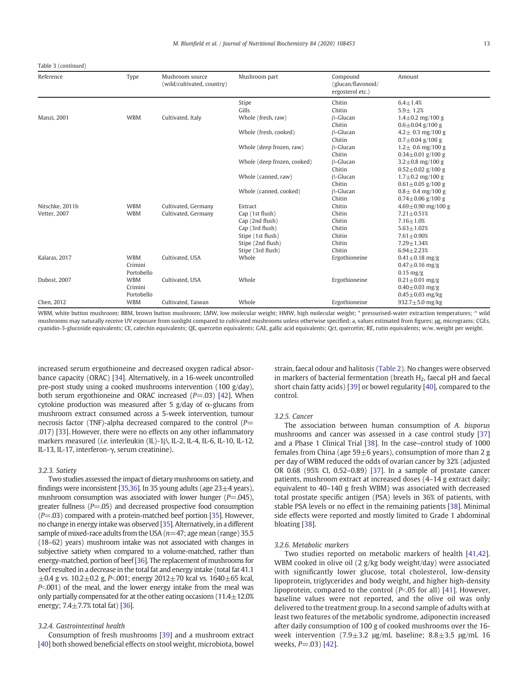Table 3 (continued)

| Reference           | Type       | Mushroom source<br>(wild/cultivated, country) | Mushroom part               | Compound<br>(glucan/flavonoid/<br>ergosterol etc.) | Amount                   |
|---------------------|------------|-----------------------------------------------|-----------------------------|----------------------------------------------------|--------------------------|
|                     |            |                                               | Stipe                       | Chitin                                             | $6.4 + 1.4%$             |
|                     |            |                                               | Gills                       | Chitin                                             | $5.9 + 1.2%$             |
| <b>Manzi</b> , 2001 | <b>WBM</b> | Cultivated, Italy                             | Whole (fresh, raw)          | <b>B-Glucan</b>                                    | $1.4 \pm 0.2$ mg/100 g   |
|                     |            |                                               |                             | Chitin                                             | $0.6 \pm 0.04$ g/100 g   |
|                     |            |                                               | Whole (fresh, cooked)       | β-Glucan                                           | $4.2 \pm 0.3$ mg/100 g   |
|                     |            |                                               |                             | Chitin                                             | $0.7 \pm 0.04$ g/100 g   |
|                     |            |                                               | Whole (deep frozen, raw)    | β-Glucan                                           | $1.2 \pm 0.6$ mg/100 g   |
|                     |            |                                               |                             | Chitin                                             | $0.34 \pm 0.01$ g/100 g  |
|                     |            |                                               | Whole (deep frozen, cooked) | $\beta$ -Glucan                                    | $3.2 \pm 0.8$ mg/100 g   |
|                     |            |                                               |                             | Chitin                                             | $0.52 \pm 0.02$ g/100 g  |
|                     |            |                                               | Whole (canned, raw)         | $\beta$ -Glucan                                    | $1.7 \pm 0.2$ mg/100 g   |
|                     |            |                                               |                             | Chitin                                             | $0.61 \pm 0.05$ g/100 g  |
|                     |            |                                               | Whole (canned, cooked)      | $\beta$ -Glucan                                    | $0.8 \pm 0.4$ mg/100 g   |
|                     |            |                                               |                             | Chitin                                             | $0.74 \pm 0.06$ g/100 g  |
| Nitschke, 2011b     | <b>WBM</b> | Cultivated, Germany                           | Extract                     | Chitin                                             | $4.69 \pm 0.90$ mg/100 g |
| Vetter, 2007        | <b>WBM</b> | Cultivated, Germany                           | Cap (1st flush)             | Chitin                                             | $7.21 \pm 0.51%$         |
|                     |            |                                               | Cap (2nd flush)             | Chitin                                             | $7.16 + 1.0%$            |
|                     |            |                                               | Cap (3rd flush)             | Chitin                                             | $5.63 \pm 1.02%$         |
|                     |            |                                               | Stipe (1st flush)           | Chitin                                             | $7.61 \pm 0.90\%$        |
|                     |            |                                               | Stipe (2nd flush)           | Chitin                                             | $7.29 \pm 1.34%$         |
|                     |            |                                               | Stipe (3rd flush)           | Chitin                                             | $6.94 + 2.23%$           |
| Kalaras, 2017       | <b>WBM</b> | Cultivated, USA                               | Whole                       | Ergothioneine                                      | $0.41 \pm 0.18$ mg/g     |
|                     | Crimini    |                                               |                             |                                                    | $0.47 \pm 0.16$ mg/g     |
|                     | Portobello |                                               |                             |                                                    | $0.15$ mg/g              |
| Dubost, 2007        | <b>WBM</b> | Cultivated, USA                               | Whole                       | Ergothioneine                                      | $0.21 \pm 0.01$ mg/g     |
|                     | Crimini    |                                               |                             |                                                    | $0.40 \pm 0.03$ mg/g     |
|                     | Portobello |                                               |                             |                                                    | $0.45 \pm 0.03$ mg/kg    |
| Chen, 2012          | <b>WBM</b> | Cultivated, Taiwan                            | Whole                       | Ergothioneine                                      | 932.7 $\pm$ 5.0 mg/kg    |

WBM, white button mushroom; BBM, brown button mushroom; LMW, low molecular weight; HMW, high molecular weight; \* pressurised-water extraction temperatures; ^ wild mushrooms may naturally receive UV exposure from sunlight compared to cultivated mushrooms unless otherwise specified; a, values estimated from figures; μg, micrograms; CGEs, cyanidin-3-glucoside equivalents; CE, catechin equivalents; QE, quercetin equivalents; GAE, gallic acid equivalents; Qct, quercetin; RE, rutin equivalents; w/w, weight per weight.

increased serum ergothioneine and decreased oxygen radical absorbance capacity (ORAC) [\[34](#page-15-0)]. Alternatively, in a 16-week uncontrolled pre-post study using a cooked mushrooms intervention (100 g/day), both serum ergothioneine and ORAC increased  $(P=.03)$  [[42\]](#page-15-0). When cytokine production was measured after 5 g/day of  $\alpha$ -glucans from mushroom extract consumed across a 5-week intervention, tumour necrosis factor (TNF)-alpha decreased compared to the control ( $P=$ .017) [[33\]](#page-15-0). However, there were no effects on any other inflammatory markers measured (i.e. interleukin (IL)-1β, IL-2, IL-4, IL-6, IL-10, IL-12, IL-13, IL-17, interferon-γ, serum creatinine).

# 3.2.3. Satiety

Two studies assessed the impact of dietary mushrooms on satiety, and findings were inconsistent [\[35,36](#page-15-0)]. In 35 young adults (age  $23\pm4$  years), mushroom consumption was associated with lower hunger ( $P = .045$ ), greater fullness  $(P=.05)$  and decreased prospective food consumption  $(P=.03)$  compared with a protein-matched beef portion [[35](#page-15-0)]. However, no change in energy intake was observed [[35](#page-15-0)]. Alternatively, in a different sample of mixed-race adults from the USA ( $n=47$ ; age mean (range) 35.5 (18–62) years) mushroom intake was not associated with changes in subjective satiety when compared to a volume-matched, rather than energy-matched, portion of beef [\[36\]](#page-15-0). The replacement of mushrooms for beef resulted in a decrease in the total fat and energy intake (total fat 41.1  $\pm 0.4$  g vs. 10.2 $\pm$ 0.2 g, P<.001; energy 2012 $\pm$ 70 kcal vs. 1640 $\pm$ 65 kcal,  $P<sub>001</sub>$  of the meal, and the lower energy intake from the meal was only partially compensated for at the other eating occasions (11.4±12.0% energy;  $7.4 \pm 7.7$ % total fat) [\[36\]](#page-15-0).

# 3.2.4. Gastrointestinal health

Consumption of fresh mushrooms [[39](#page-15-0)] and a mushroom extract [[40](#page-15-0)] both showed beneficial effects on stool weight, microbiota, bowel

strain, faecal odour and halitosis ([Table 2](#page-3-0)). No changes were observed in markers of bacterial fermentation (breath  $H<sub>2</sub>$ , faecal pH and faecal short chain fatty acids) [[39\]](#page-15-0) or bowel regularity [[40\]](#page-15-0), compared to the control.

# 3.2.5. Cancer

The association between human consumption of A. bisporus mushrooms and cancer was assessed in a case control study [[37\]](#page-15-0) and a Phase 1 Clinical Trial [[38](#page-15-0)]. In the case–control study of 1000 females from China (age  $59\pm 6$  years), consumption of more than 2 g per day of WBM reduced the odds of ovarian cancer by 32% (adjusted OR 0.68 (95% CI, 0.52–0.89) [[37\]](#page-15-0). In a sample of prostate cancer patients, mushroom extract at increased doses (4–14 g extract daily; equivalent to 40–140 g fresh WBM) was associated with decreased total prostate specific antigen (PSA) levels in 36% of patients, with stable PSA levels or no effect in the remaining patients [\[38](#page-15-0)]. Minimal side effects were reported and mostly limited to Grade 1 abdominal bloating [\[38](#page-15-0)].

# 3.2.6. Metabolic markers

Two studies reported on metabolic markers of health [\[41,42\]](#page-15-0). WBM cooked in olive oil (2 g/kg body weight/day) were associated with significantly lower glucose, total cholesterol, low-density lipoprotein, triglycerides and body weight, and higher high-density lipoprotein, compared to the control ( $P<sub>0</sub>$ , 05 for all) [\[41\]](#page-15-0). However, baseline values were not reported, and the olive oil was only delivered to the treatment group. In a second sample of adults with at least two features of the metabolic syndrome, adiponectin increased after daily consumption of 100 g of cooked mushrooms over the 16 week intervention  $(7.9 \pm 3.2 \text{ µg/mL}$  baseline;  $8.8 \pm 3.5 \text{ µg/mL}$  16 weeks,  $P = .03$ ) [[42](#page-15-0)].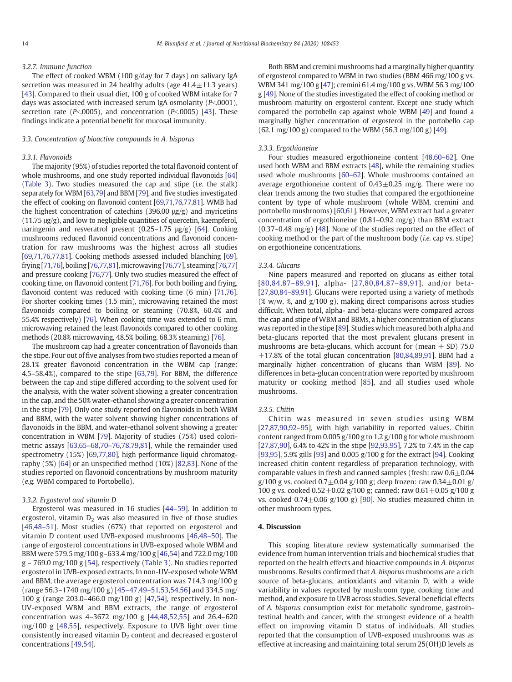# 3.2.7. Immune function

The effect of cooked WBM (100 g/day for 7 days) on salivary IgA secretion was measured in 24 healthy adults (age  $41.4 \pm 11.3$  years) [\[43](#page-15-0)]. Compared to their usual diet, 100 g of cooked WBM intake for 7 days was associated with increased serum IgA osmolarity ( $P<.0001$ ), secretion rate ( $P<sub>0</sub>0005$ ), and concentration ( $P<sub>0</sub>0005$ ) [[43](#page-15-0)]. These findings indicate a potential benefit for mucosal immunity.

#### 3.3. Concentration of bioactive compounds in A. bisporus

# 3.3.1. Flavonoids

The majority (95%) of studies reported the total flavonoid content of whole mushrooms, and one study reported individual flavonoids [[64\]](#page-16-0) ([Table 3](#page-9-0)). Two studies measured the cap and stipe (i.e. the stalk) separately for WBM [\[63,79\]](#page-16-0) and BBM [\[79](#page-16-0)], and five studies investigated the effect of cooking on flavonoid content [\[69](#page-16-0),[71,76,77,81\]](#page-16-0). WMB had the highest concentration of catechins (396.00  $\mu$ g/g) and myricetins (11.75 μg/g), and low to negligible quantities of quercetin, kaempferol, naringenin and resveratrol present (0.25–1.75 μg/g) [[64\]](#page-16-0). Cooking mushrooms reduced flavonoid concentrations and flavonoid concentration for raw mushrooms was the highest across all studies [\[69](#page-16-0),[71,76,77](#page-16-0),[81\]](#page-16-0). Cooking methods assessed included blanching [\[69](#page-16-0)], frying [\[71,76](#page-16-0)], boiling [\[76,77](#page-16-0),[81\]](#page-16-0),microwaving [\[76](#page-16-0),[77\]](#page-16-0), steaming [\[76,77\]](#page-16-0) and pressure cooking [[76,77](#page-16-0)]. Only two studies measured the effect of cooking time, on flavonoid content [\[71,76\]](#page-16-0). For both boiling and frying, flavonoid content was reduced with cooking time (6 min) [[71,76](#page-16-0)]. For shorter cooking times (1.5 min), microwaving retained the most flavonoids compared to boiling or steaming (70.8%, 60.4% and 55.4% respectively) [[76\]](#page-16-0). When cooking time was extended to 6 min, microwaving retained the least flavonoids compared to other cooking methods (20.8% microwaving, 48.5% boiling, 68.3% steaming) [\[76\]](#page-16-0).

The mushroom cap had a greater concentration of flavonoids than the stipe. Four out of five analyses from two studies reported a mean of 28.1% greater flavonoid concentration in the WBM cap (range: 4.5–58.4%), compared to the stipe [\[63,79](#page-16-0)]. For BBM, the difference between the cap and stipe differed according to the solvent used for the analysis, with the water solvent showing a greater concentration in the cap, and the 50% water-ethanol showing a greater concentration in the stipe [[79\]](#page-16-0). Only one study reported on flavonoids in both WBM and BBM, with the water solvent showing higher concentrations of flavonoids in the BBM, and water-ethanol solvent showing a greater concentration in WBM [\[79](#page-16-0)]. Majority of studies (75%) used colorimetric assays [[63,65](#page-16-0)–68[,70](#page-16-0)–76,[78,79,81\]](#page-16-0), while the remainder used spectrometry (15%) [\[69,77,80](#page-16-0)], high performance liquid chromatography (5%) [\[64](#page-16-0)] or an unspecified method (10%) [\[82,83](#page-16-0)]. None of the studies reported on flavonoid concentrations by mushroom maturity (e.g. WBM compared to Portobello).

# 3.3.2. Ergosterol and vitamin D

Ergosterol was measured in 16 studies [44–[59](#page-16-0)]. In addition to ergosterol, vitamin  $D_2$  was also measured in five of those studies [\[46,](#page-16-0)48–[51\]](#page-16-0). Most studies (67%) that reported on ergosterol and vitamin D content used UVB-exposed mushrooms [[46,48](#page-16-0)–50]. The range of ergosterol concentrations in UVB-exposed whole WBM and BBM were 579.5 mg/100 g–633.4 mg/100 g [\[46,54\]](#page-16-0) and 722.0 mg/100 g – 769.0 mg/100 g [\[54\]](#page-16-0), respectively [\(Table 3\)](#page-9-0). No studies reported ergosterol in UVB-exposed extracts. In non-UV-exposed whole WBM and BBM, the average ergosterol concentration was 714.3 mg/100 g (range 56.3–1740 mg/100 g) [\[45](#page-16-0)–47,49–[51,53,54,56](#page-16-0)] and 334.5 mg/ 100 g (range 203.0–466.0 mg/100 g) [\[47,54\]](#page-16-0), respectively. In non-UV-exposed WBM and BBM extracts, the range of ergosterol concentration was 4–3672 mg/100 g [\[44,48,52,55](#page-16-0)] and 26.4–620 mg/100 g [[48,55](#page-16-0)], respectively. Exposure to UVB light over time consistently increased vitamin  $D_2$  content and decreased ergosterol concentrations [[49,54](#page-16-0)].

Both BBM and cremini mushrooms had a marginally higher quantity of ergosterol compared to WBM in two studies (BBM 466 mg/100 g vs. WBM 341 mg/100 g [[47\]](#page-16-0); cremini 61.4 mg/100 g vs. WBM 56.3 mg/100 g [\[49](#page-16-0)]. None of the studies investigated the effect of cooking method or mushroom maturity on ergosterol content. Except one study which compared the portobello cap against whole WBM [[49\]](#page-16-0) and found a marginally higher concentration of ergosterol in the portobello cap (62.1 mg/100 g) compared to the WBM (56.3 mg/100 g) [[49\]](#page-16-0).

# 3.3.3. Ergothioneine

Four studies measured ergothioneine content [[48,60](#page-16-0)–62]. One used both WBM and BBM extracts [[48\]](#page-16-0), while the remaining studies used whole mushrooms [60–[62\]](#page-16-0). Whole mushrooms contained an average ergothioneine content of  $0.43 \pm 0.25$  mg/g. There were no clear trends among the two studies that compared the ergothioneine content by type of whole mushroom (whole WBM, cremini and portobello mushrooms) [\[60,61](#page-16-0)]. However, WBM extract had a greater concentration of ergothioneine (0.81–0.92 mg/g) than BBM extract (0.37–0.48 mg/g) [[48](#page-16-0)]. None of the studies reported on the effect of cooking method or the part of the mushroom body (i.e. cap vs. stipe) on ergothioneine concentrations.

# 3.3.4. Glucans

Nine papers measured and reported on glucans as either total [[80,84](#page-16-0),87–[89,91](#page-16-0)], alpha- [[27](#page-15-0),[80](#page-16-0),[84,](#page-16-0)87–[89](#page-16-0),[91\]](#page-16-0), and/or beta- [\[27](#page-15-0)[,80,84](#page-16-0)–89,[91\]](#page-16-0). Glucans were reported using a variety of methods  $(X w/w, X, and g/100 g)$ , making direct comparisons across studies difficult. When total, alpha- and beta-glucans were compared across the cap and stipe of WBM and BBMs, a higher concentration of glucans was reported in the stipe [\[89](#page-16-0)]. Studies which measured both alpha and beta-glucans reported that the most prevalent glucans present in mushrooms are beta-glucans, which account for (mean  $\pm$  SD) 75.0  $\pm$ 17.8% of the total glucan concentration [\[80,84,89](#page-16-0),[91](#page-16-0)]. BBM had a marginally higher concentration of glucans than WBM [[89](#page-16-0)]. No differences in beta-glucan concentration were reported by mushroom maturity or cooking method [[85](#page-16-0)], and all studies used whole mushrooms.

#### 3.3.5. Chitin

Chitin was measured in seven studies using WBM [\[27](#page-15-0)[,87,90,92](#page-16-0)-95], with high variability in reported values. Chitin content ranged from 0.005 g/100 g to 1.2 g/100 g for whole mushroom [\[27](#page-15-0)[,87,90](#page-16-0)], 6.4% to 42% in the stipe [\[92,93,95](#page-16-0)], 7.2% to 7.4% in the cap [\[93,95](#page-16-0)], 5.9% gills [[93\]](#page-16-0) and 0.005 g/100 g for the extract [[94\]](#page-16-0). Cooking increased chitin content regardless of preparation technology, with comparable values in fresh and canned samples (fresh: raw  $0.6 \pm 0.04$ ) g/100 g vs. cooked  $0.7 \pm 0.04$  g/100 g; deep frozen: raw  $0.34 \pm 0.01$  g/ 100 g vs. cooked  $0.52 \pm 0.02$  g/100 g; canned: raw  $0.61 \pm 0.05$  g/100 g vs. cooked  $0.74 \pm 0.06$  g/100 g) [[90\]](#page-16-0). No studies measured chitin in other mushroom types.

# 4. Discussion

This scoping literature review systematically summarised the evidence from human intervention trials and biochemical studies that reported on the health effects and bioactive compounds in A. bisporus mushrooms. Results confirmed that A. bisporus mushrooms are a rich source of beta-glucans, antioxidants and vitamin D, with a wide variability in values reported by mushroom type, cooking time and method, and exposure to UVB across studies. Several beneficial effects of A. bisporus consumption exist for metabolic syndrome, gastrointestinal health and cancer, with the strongest evidence of a health effect on improving vitamin D status of individuals. All studies reported that the consumption of UVB-exposed mushrooms was as effective at increasing and maintaining total serum 25(OH)D levels as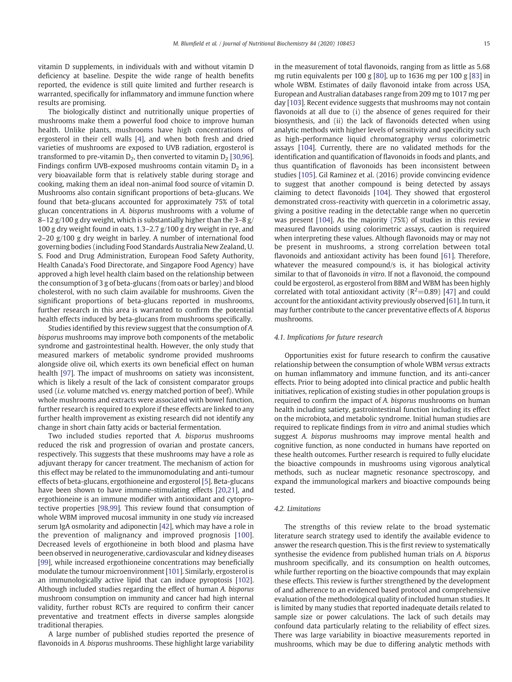vitamin D supplements, in individuals with and without vitamin D deficiency at baseline. Despite the wide range of health benefits reported, the evidence is still quite limited and further research is warranted, specifically for inflammatory and immune function where results are promising.

The biologically distinct and nutritionally unique properties of mushrooms make them a powerful food choice to improve human health. Unlike plants, mushrooms have high concentrations of ergosterol in their cell walls [[4](#page-15-0)], and when both fresh and dried varieties of mushrooms are exposed to UVB radiation, ergosterol is transformed to pre-vitamin  $D_2$ , then converted to vitamin  $D_2$  [[30,](#page-15-0)[96\]](#page-16-0). Findings confirm UVB-exposed mushrooms contain vitamin  $D_2$  in a very bioavailable form that is relatively stable during storage and cooking, making them an ideal non-animal food source of vitamin D. Mushrooms also contain significant proportions of beta-glucans. We found that beta-glucans accounted for approximately 75% of total glucan concentrations in A. bisporus mushrooms with a volume of 8–12  $g/100 g$  dry weight, which is substantially higher than the 3–8  $g/$ 100 g dry weight found in oats, 1.3–2.7 g/100 g dry weight in rye, and 2–20 g/100 g dry weight in barley. A number of international food governing bodies (including Food Standards Australia New Zealand, U. S. Food and Drug Administration, European Food Safety Authority, Health Canada's Food Directorate, and Singapore Food Agency) have approved a high level health claim based on the relationship between the consumption of 3 g of beta-glucans (from oats or barley) and blood cholesterol, with no such claim available for mushrooms. Given the significant proportions of beta-glucans reported in mushrooms, further research in this area is warranted to confirm the potential health effects induced by beta-glucans from mushrooms specifically.

Studies identified by this review suggest that the consumption of A. bisporus mushrooms may improve both components of the metabolic syndrome and gastrointestinal health. However, the only study that measured markers of metabolic syndrome provided mushrooms alongside olive oil, which exerts its own beneficial effect on human health [\[97](#page-16-0)]. The impact of mushrooms on satiety was inconsistent, which is likely a result of the lack of consistent comparator groups used (i.e. volume matched vs. energy matched portion of beef). While whole mushrooms and extracts were associated with bowel function, further research is required to explore if these effects are linked to any further health improvement as existing research did not identify any change in short chain fatty acids or bacterial fermentation.

Two included studies reported that A. bisporus mushrooms reduced the risk and progression of ovarian and prostate cancers, respectively. This suggests that these mushrooms may have a role as adjuvant therapy for cancer treatment. The mechanism of action for this effect may be related to the immunomodulating and anti-tumour effects of beta-glucans, ergothioneine and ergosterol [\[5\]](#page-15-0). Beta-glucans have been shown to have immune-stimulating effects [[20,21\]](#page-15-0), and ergothioneine is an immune modifier with antioxidant and cytoprotective properties [\[98,99](#page-16-0)]. This review found that consumption of whole WBM improved mucosal immunity in one study via increased serum IgA osmolarity and adiponectin [\[42\]](#page-15-0), which may have a role in the prevention of malignancy and improved prognosis [\[100\]](#page-16-0). Decreased levels of ergothioneine in both blood and plasma have been observed in neurogenerative, cardiovascular and kidney diseases [\[99](#page-16-0)], while increased ergothioneine concentrations may beneficially modulate the tumour microenvironment [\[101\]](#page-16-0). Similarly, ergosterol is an immunologically active lipid that can induce pyroptosis [\[102\]](#page-16-0). Although included studies regarding the effect of human A. bisporus mushroom consumption on immunity and cancer had high internal validity, further robust RCTs are required to confirm their cancer preventative and treatment effects in diverse samples alongside traditional therapies.

A large number of published studies reported the presence of flavonoids in A. bisporus mushrooms. These highlight large variability

in the measurement of total flavonoids, ranging from as little as 5.68 mg rutin equivalents per 100 g [\[80](#page-16-0)], up to 1636 mg per 100 g [\[83](#page-16-0)] in whole WBM. Estimates of daily flavonoid intake from across USA, European and Australian databases range from 209 mg to 1017 mg per day [\[103\]](#page-16-0). Recent evidence suggests that mushrooms may not contain flavonoids at all due to (i) the absence of genes required for their biosynthesis, and (ii) the lack of flavonoids detected when using analytic methods with higher levels of sensitivity and specificity such as high-performance liquid chromatography versus colorimetric assays [[104](#page-16-0)]. Currently, there are no validated methods for the identification and quantification of flavonoids in foods and plants, and thus quantification of flavonoids has been inconsistent between studies [\[105\]](#page-16-0). Gil Raminez et al. (2016) provide convincing evidence to suggest that another compound is being detected by assays claiming to detect flavonoids [\[104\]](#page-16-0). They showed that ergosterol demonstrated cross-reactivity with quercetin in a colorimetric assay, giving a positive reading in the detectable range when no quercetin was present [[104](#page-16-0)]. As the majority (75%) of studies in this review measured flavonoids using colorimetric assays, caution is required when interpreting these values. Although flavonoids may or may not be present in mushrooms, a strong correlation between total flavonoids and antioxidant activity has been found [[61\]](#page-16-0). Therefore, whatever the measured compound/s is, it has biological activity similar to that of flavonoids in vitro. If not a flavonoid, the compound could be ergosterol, as ergosterol from BBM and WBM has been highly correlated with total antioxidant activity ( $R^2$ =0.89) [\[47](#page-16-0)] and could account for the antioxidant activity previously observed [[61\]](#page-16-0). In turn, it may further contribute to the cancer preventative effects of A. bisporus mushrooms.

# 4.1. Implications for future research

Opportunities exist for future research to confirm the causative relationship between the consumption of whole WBM versus extracts on human inflammatory and immune function, and its anti-cancer effects. Prior to being adopted into clinical practice and public health initiatives, replication of existing studies in other population groups is required to confirm the impact of A. bisporus mushrooms on human health including satiety, gastrointestinal function including its effect on the microbiota, and metabolic syndrome. Initial human studies are required to replicate findings from in vitro and animal studies which suggest A. bisporus mushrooms may improve mental health and cognitive function, as none conducted in humans have reported on these health outcomes. Further research is required to fully elucidate the bioactive compounds in mushrooms using vigorous analytical methods, such as nuclear magnetic resonance spectroscopy, and expand the immunological markers and bioactive compounds being tested.

# 4.2. Limitations

The strengths of this review relate to the broad systematic literature search strategy used to identify the available evidence to answer the research question. This is the first review to systematically synthesise the evidence from published human trials on A. bisporus mushroom specifically, and its consumption on health outcomes, while further reporting on the bioactive compounds that may explain these effects. This review is further strengthened by the development of and adherence to an evidenced based protocol and comprehensive evaluation of the methodological quality of included human studies. It is limited by many studies that reported inadequate details related to sample size or power calculations. The lack of such details may confound data particularly relating to the reliability of effect sizes. There was large variability in bioactive measurements reported in mushrooms, which may be due to differing analytic methods with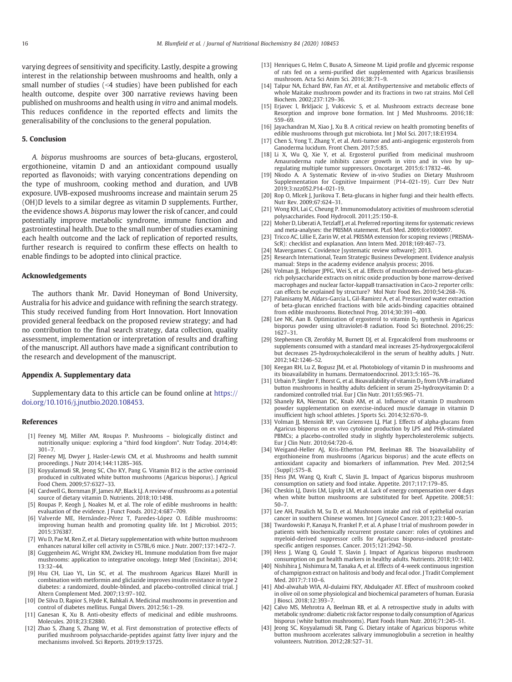<span id="page-15-0"></span>varying degrees of sensitivity and specificity. Lastly, despite a growing interest in the relationship between mushrooms and health, only a small number of studies (<4 studies) have been published for each health outcome, despite over 300 narrative reviews having been published on mushrooms and health using in vitro and animal models. This reduces confidence in the reported effects and limits the generalisability of the conclusions to the general population.

# 5. Conclusion

A. bisporus mushrooms are sources of beta-glucans, ergosterol, ergothioneine, vitamin D and an antioxidant compound usually reported as flavonoids; with varying concentrations depending on the type of mushroom, cooking method and duration, and UVB exposure. UVB-exposed mushrooms increase and maintain serum 25 (OH)D levels to a similar degree as vitamin D supplements. Further, the evidence shows A. bisporus may lower the risk of cancer, and could potentially improve metabolic syndrome, immune function and gastrointestinal health. Due to the small number of studies examining each health outcome and the lack of replication of reported results, further research is required to confirm these effects on health to enable findings to be adopted into clinical practice.

# Acknowledgements

The authors thank Mr. David Honeyman of Bond University, Australia for his advice and guidance with refining the search strategy. This study received funding from Hort Innovation. Hort Innovation provided general feedback on the proposed review strategy; and had no contribution to the final search strategy, data collection, quality assessment, implementation or interpretation of results and drafting of the manuscript. All authors have made a significant contribution to the research and development of the manuscript.

# Appendix A. Supplementary data

Supplementary data to this article can be found online at [https://](https://doi.org/) [doi.org/10.1016/j.jnutbio.2020.108453](https://doi.org/).

#### References

- [1] [Feeney MJ, Miller AM, Roupas P. Mushrooms](http://refhub.elsevier.com/S0955-2863(20)30485-X/rf0005) biologically distinct and [nutritionally unique: exploring a "third food kingdom". Nutr Today. 2014;49:](http://refhub.elsevier.com/S0955-2863(20)30485-X/rf0005) [301](http://refhub.elsevier.com/S0955-2863(20)30485-X/rf0005)–7.
- [2] Feeney MJ, Dwyer J, Hasler-Lewis CM, et al. Mushrooms and health summit proceedings. J Nutr 2014;144:1128S–36S.
- [3] [Koyyalamudi SR, Jeong SC, Cho KY, Pang G. Vitamin B12 is the active corrinoid](http://refhub.elsevier.com/S0955-2863(20)30485-X/rf0010) [produced in cultivated white button mushrooms \(Agaricus bisporus\). J Agricul](http://refhub.elsevier.com/S0955-2863(20)30485-X/rf0010) [Food Chem. 2009;57:6327](http://refhub.elsevier.com/S0955-2863(20)30485-X/rf0010)–33.
- [4] [Cardwell G, Bornman JF, James AP, Black LJ. A review of mushrooms as a potential](http://refhub.elsevier.com/S0955-2863(20)30485-X/rf0015) [source of dietary vitamin D. Nutrients. 2018;10:1498.](http://refhub.elsevier.com/S0955-2863(20)30485-X/rf0015)
- [5] [Roupas P, Keogh J, Noakes M, et al. The role of edible mushrooms in health:](http://refhub.elsevier.com/S0955-2863(20)30485-X/rf0020) [evaluation of the evidence. J Funct Foods. 2012;4:687](http://refhub.elsevier.com/S0955-2863(20)30485-X/rf0020)–709.
- [6] [Valverde ME, Hernández-Pérez T, Paredes-López O. Edible mushrooms:](http://refhub.elsevier.com/S0955-2863(20)30485-X/rf0025) [improving human health and promoting quality life. Int J Microbiol. 2015;](http://refhub.elsevier.com/S0955-2863(20)30485-X/rf0025) [2015:376387.](http://refhub.elsevier.com/S0955-2863(20)30485-X/rf0025)
- [7] [Wu D, Pae M, Ren Z, et al. Dietary supplementation with white button mushroom](http://refhub.elsevier.com/S0955-2863(20)30485-X/rf0030) [enhances natural killer cell activity in C57BL/6 mice. J Nutr. 2007;137:1472](http://refhub.elsevier.com/S0955-2863(20)30485-X/rf0030)–7.
- [8] [Guggenheim AG, Wright KM, Zwickey HL. Immune modulation from five major](http://refhub.elsevier.com/S0955-2863(20)30485-X/rf0035) [mushrooms: application to integrative oncology. Integr Med \(Encinitas\). 2014;](http://refhub.elsevier.com/S0955-2863(20)30485-X/rf0035) [13:32](http://refhub.elsevier.com/S0955-2863(20)30485-X/rf0035)–44.
- [9] [Hsu CH, Liao YL, Lin SC, et al. The mushroom Agaricus Blazei Murill in](http://refhub.elsevier.com/S0955-2863(20)30485-X/rf0040) [combination with metformin and gliclazide improves insulin resistance in type 2](http://refhub.elsevier.com/S0955-2863(20)30485-X/rf0040) [diabetes: a randomized, double-blinded, and placebo-controlled clinical trial. J](http://refhub.elsevier.com/S0955-2863(20)30485-X/rf0040) [Altern Complement Med. 2007;13:97](http://refhub.elsevier.com/S0955-2863(20)30485-X/rf0040)–102.
- [10] [De Silva D, Rapior S, Hyde K, Bahkali A. Medicinal mushrooms in prevention and](http://refhub.elsevier.com/S0955-2863(20)30485-X/rf0045) [control of diabetes mellitus. Fungal Divers. 2012;56:1](http://refhub.elsevier.com/S0955-2863(20)30485-X/rf0045)–29.
- [11] [Ganesan K, Xu B. Anti-obesity effects of medicinal and edible mushrooms.](http://refhub.elsevier.com/S0955-2863(20)30485-X/rf0050) [Molecules. 2018;23:E2880.](http://refhub.elsevier.com/S0955-2863(20)30485-X/rf0050)
- [12] [Zhao S, Zhang S, Zhang W, et al. First demonstration of protective effects of](http://refhub.elsevier.com/S0955-2863(20)30485-X/rf0055) [purified mushroom polysaccharide-peptides against fatty liver injury and the](http://refhub.elsevier.com/S0955-2863(20)30485-X/rf0055) [mechanisms involved. Sci Reports. 2019;9:13725.](http://refhub.elsevier.com/S0955-2863(20)30485-X/rf0055)
- [13] [Henriques G, Helm C, Busato A, Simeone M. Lipid profile and glycemic response](http://refhub.elsevier.com/S0955-2863(20)30485-X/rf0060) [of rats fed on a semi-purified diet supplemented with Agaricus brasiliensis](http://refhub.elsevier.com/S0955-2863(20)30485-X/rf0060) [mushroom. Acta Sci Anim Sci. 2016;38:71](http://refhub.elsevier.com/S0955-2863(20)30485-X/rf0060)–9.
- [14] [Talpur NA, Echard BW, Fan AY, et al. Antihypertensive and metabolic effects of](http://refhub.elsevier.com/S0955-2863(20)30485-X/rf0065) [whole Maitake mushroom powder and its fractions in two rat strains. Mol Cell](http://refhub.elsevier.com/S0955-2863(20)30485-X/rf0065) [Biochem. 2002;237:129](http://refhub.elsevier.com/S0955-2863(20)30485-X/rf0065)–36.
- [15] [Erjavec I, Brkljacic J, Vukicevic S, et al. Mushroom extracts decrease bone](http://refhub.elsevier.com/S0955-2863(20)30485-X/rf0070) [Resorption and improve bone formation. Int J Med Mushrooms. 2016;18:](http://refhub.elsevier.com/S0955-2863(20)30485-X/rf0070) [559](http://refhub.elsevier.com/S0955-2863(20)30485-X/rf0070)–69.
- [16] [Jayachandran M, Xiao J, Xu B. A critical review on health promoting benefits of](http://refhub.elsevier.com/S0955-2863(20)30485-X/rf0075) [edible mushrooms through gut microbiota. Int J Mol Sci. 2017;18:E1934.](http://refhub.elsevier.com/S0955-2863(20)30485-X/rf0075)
- [17] [Chen S, Yong T, Zhang Y, et al. Anti-tumor and anti-angiogenic ergosterols from](http://refhub.elsevier.com/S0955-2863(20)30485-X/rf0080) [Ganoderma lucidum. Front Chem. 2017;5:85.](http://refhub.elsevier.com/S0955-2863(20)30485-X/rf0080)
- [18] [Li X, Wu Q, Xie Y, et al. Ergosterol purified from medicinal mushroom](http://refhub.elsevier.com/S0955-2863(20)30485-X/rf0085) [Amauroderma rude inhibits cancer growth in vitro and in vivo by up](http://refhub.elsevier.com/S0955-2863(20)30485-X/rf0085)[regulating multiple tumor suppressors. Oncotarget. 2015;6:17832](http://refhub.elsevier.com/S0955-2863(20)30485-X/rf0085)–46.
- [19] Nkodo A. A Systematic Review of in-vivo Studies on Dietary Mushroom Supplementation for Cognitive Impairment (P14–021-19). Curr Dev Nutr 2019;3:nzz052.P14–021-19.
- [20] [Rop O, Mlcek J, Jurikova T. Beta-glucans in higher fungi and their health effects.](http://refhub.elsevier.com/S0955-2863(20)30485-X/rf0090) [Nutr Rev. 2009;67:624](http://refhub.elsevier.com/S0955-2863(20)30485-X/rf0090)–31.
- [21] [Wong KH, Lai C, Cheung P. Immunomodulatory activities of mushroom sclerotial](http://refhub.elsevier.com/S0955-2863(20)30485-X/rf0095) [polysaccharides. Food Hydrocoll. 2011;25:150](http://refhub.elsevier.com/S0955-2863(20)30485-X/rf0095)–8.
- [22] [Moher D, Liberati A, Tetzlaff J, et al. Preferred reporting items for systematic reviews](http://refhub.elsevier.com/S0955-2863(20)30485-X/rf0100) [and meta-analyses: the PRISMA statement. PLoS Med. 2009;6:e1000097.](http://refhub.elsevier.com/S0955-2863(20)30485-X/rf0100)
- [23] [Tricco AC, Lillie E, Zarin W, et al. PRISMA extension for scoping reviews \(PRISMA-](http://refhub.elsevier.com/S0955-2863(20)30485-X/rf0105)[ScR\): checklist and explanation. Ann Intern Med. 2018;169:467](http://refhub.elsevier.com/S0955-2863(20)30485-X/rf0105)–73.
- [24] [Mavergames C. Covidence \[systematic review software\]; 2013.](http://refhub.elsevier.com/S0955-2863(20)30485-X/rf0110)
- [25] [Research International, Team Strategic Business Development. Evidence analysis](http://refhub.elsevier.com/S0955-2863(20)30485-X/rf0115) [manual: Steps in the academy evidence analysis process; 2016.](http://refhub.elsevier.com/S0955-2863(20)30485-X/rf0115)
- [26] [Volman JJ, Helsper JPFG, Wei S, et al. Effects of mushroom-derived beta-glucan](http://refhub.elsevier.com/S0955-2863(20)30485-X/rf0120)[rich polysaccharide extracts on nitric oxide production by bone marrow-derived](http://refhub.elsevier.com/S0955-2863(20)30485-X/rf0120) [macrophages and nuclear factor-kappaB transactivation in Caco-2 reporter cells:](http://refhub.elsevier.com/S0955-2863(20)30485-X/rf0120) [can effects be explained by structure? Mol Nutr Food Res. 2010;54:268](http://refhub.elsevier.com/S0955-2863(20)30485-X/rf0120)–76.
- [27] [Palanisamy M, Aldars-Garcia L, Gil-Ramirez A, et al. Pressurized water extraction](http://refhub.elsevier.com/S0955-2863(20)30485-X/rf0125) of [beta-glucan enriched fractions with bile acids-binding capacities obtained](http://refhub.elsevier.com/S0955-2863(20)30485-X/rf0125) [from edible mushrooms. Biotechnol Prog. 2014;30:391](http://refhub.elsevier.com/S0955-2863(20)30485-X/rf0125)–400.
- [28] Lee NK, Aan B. Optimization of ergosterol to vitamin  $D_2$  [synthesis in Agaricus](http://refhub.elsevier.com/S0955-2863(20)30485-X/rf0130) [bisporus powder using ultraviolet-B radiation. Food Sci Biotechnol. 2016;25:](http://refhub.elsevier.com/S0955-2863(20)30485-X/rf0130) [1627](http://refhub.elsevier.com/S0955-2863(20)30485-X/rf0130)–31.
- [29] [Stephensen CB, Zerofsky M, Burnett DJ, et al. Ergocalciferol from mushrooms or](http://refhub.elsevier.com/S0955-2863(20)30485-X/rf0135) [supplements consumed with a standard meal increases 25-hydroxyergocalciferol](http://refhub.elsevier.com/S0955-2863(20)30485-X/rf0135) [but decreases 25-hydroxycholecalciferol in the serum of healthy adults. J Nutr.](http://refhub.elsevier.com/S0955-2863(20)30485-X/rf0135) [2012;142:1246](http://refhub.elsevier.com/S0955-2863(20)30485-X/rf0135)–52.
- [30] [Keegan RH, Lu Z, Bogusz JM, et al. Photobiology of vitamin D in mushrooms and](http://refhub.elsevier.com/S0955-2863(20)30485-X/rf0140) [its bioavailability in humans. Dermatoendocrinol. 2013;5:165](http://refhub.elsevier.com/S0955-2863(20)30485-X/rf0140)–76.
- [31] Urbain P, Singler F, Ihorst G, et al. Bioavailability of vitamin  $D_2$  [from UVB-irradiated](http://refhub.elsevier.com/S0955-2863(20)30485-X/rf0145) [button mushrooms in healthy adults deficient in serum 25-hydroxyvitamin D: a](http://refhub.elsevier.com/S0955-2863(20)30485-X/rf0145) [randomized controlled trial. Eur J Clin Nutr. 2011;65:965](http://refhub.elsevier.com/S0955-2863(20)30485-X/rf0145)–71.
- [32] [Shanely RA, Nieman DC, Knab AM, et al. Influence of vitamin D mushroom](http://refhub.elsevier.com/S0955-2863(20)30485-X/rf0150) [powder supplementation on exercise-induced muscle damage in vitamin D](http://refhub.elsevier.com/S0955-2863(20)30485-X/rf0150) [insufficient high school athletes. J Sports Sci. 2014;32:670](http://refhub.elsevier.com/S0955-2863(20)30485-X/rf0150)–9.
- [33] [Volman JJ, Mensink RP, van Griensven LJ, Plat J. Effects of alpha-glucans from](http://refhub.elsevier.com/S0955-2863(20)30485-X/rf0155) [Agaricus bisporus on ex vivo cytokine production by LPS and PHA-stimulated](http://refhub.elsevier.com/S0955-2863(20)30485-X/rf0155) [PBMCs; a placebo-controlled study in slightly hypercholesterolemic subjects.](http://refhub.elsevier.com/S0955-2863(20)30485-X/rf0155) [Eur J Clin Nutr. 2010;64:720](http://refhub.elsevier.com/S0955-2863(20)30485-X/rf0155)–6.
- [34] [Weigand-Heller AJ, Kris-Etherton PM, Beelman RB. The bioavailability of](http://refhub.elsevier.com/S0955-2863(20)30485-X/rf0160) [ergothioneine from mushrooms \(Agaricus bisporus\) and the acute effects on](http://refhub.elsevier.com/S0955-2863(20)30485-X/rf0160) [antioxidant capacity and biomarkers of inflammation. Prev Med. 2012;54](http://refhub.elsevier.com/S0955-2863(20)30485-X/rf0160) [\(Suppl\):S75](http://refhub.elsevier.com/S0955-2863(20)30485-X/rf0160)–8.
- [35] [Hess JM, Wang Q, Kraft C, Slavin JL. Impact of Agaricus bisporus mushroom](http://refhub.elsevier.com/S0955-2863(20)30485-X/rf0165) [consumption on satiety and food intake. Appetite. 2017;117:179](http://refhub.elsevier.com/S0955-2863(20)30485-X/rf0165)–85.
- [36] [Cheskin LJ, Davis LM, Lipsky LM, et al. Lack of energy compensation over 4 days](http://refhub.elsevier.com/S0955-2863(20)30485-X/rf0170) [when white button mushrooms are substituted for beef. Appetite. 2008;51:](http://refhub.elsevier.com/S0955-2863(20)30485-X/rf0170)  $50 - 7$  $50 - 7$
- [37] [Lee AH, Pasalich M, Su D, et al. Mushroom intake and risk of epithelial ovarian](http://refhub.elsevier.com/S0955-2863(20)30485-X/rf0175) [cancer in southern Chinese women. Int J Gynecol Cancer. 2013;23:1400](http://refhub.elsevier.com/S0955-2863(20)30485-X/rf0175)–5.
- [38] [Twardowski P, Kanaya N, Frankel P, et al. A phase I trial of mushroom powder in](http://refhub.elsevier.com/S0955-2863(20)30485-X/rf0180) [patients with biochemically recurrent prostate cancer: roles of cytokines and](http://refhub.elsevier.com/S0955-2863(20)30485-X/rf0180) [myeloid-derived suppressor cells for Agaricus bisporus-induced prostate](http://refhub.elsevier.com/S0955-2863(20)30485-X/rf0180)[specific antigen responses. Cancer. 2015;121:2942](http://refhub.elsevier.com/S0955-2863(20)30485-X/rf0180)–50.
- [39] [Hess J, Wang Q, Gould T, Slavin J. Impact of Agaricus bisporus mushroom](http://refhub.elsevier.com/S0955-2863(20)30485-X/rf0185) [consumption on gut health markers in healthy adults. Nutrients. 2018;10:1402.](http://refhub.elsevier.com/S0955-2863(20)30485-X/rf0185)
- [40] [Nishihira J, Nishimura M, Tanaka A, et al. Effects of 4-week continuous ingestion](http://refhub.elsevier.com/S0955-2863(20)30485-X/rf0190) [of champignon extract on halitosis and body and fecal odor. J Tradit Complement](http://refhub.elsevier.com/S0955-2863(20)30485-X/rf0190) [Med. 2017;7:110](http://refhub.elsevier.com/S0955-2863(20)30485-X/rf0190)–6.
- [41] [Abd-alwahab WIA, Al-dulaimi FKY, Abdulqader AT. Effect of mushroom cooked](http://refhub.elsevier.com/S0955-2863(20)30485-X/rf0195) [in olive oil on some physiological and biochemical parameters of human. Eurasia](http://refhub.elsevier.com/S0955-2863(20)30485-X/rf0195) [J Biosci. 2018;12:393](http://refhub.elsevier.com/S0955-2863(20)30485-X/rf0195)–7.
- [42] [Calvo MS, Mehrotra A, Beelman RB, et al. A retrospective study in adults with](http://refhub.elsevier.com/S0955-2863(20)30485-X/rf0200) [metabolic syndrome: diabetic risk factor response to daily consumption of Agaricus](http://refhub.elsevier.com/S0955-2863(20)30485-X/rf0200) [bisporus \(white button mushrooms\). Plant Foods Hum Nutr. 2016;71:245](http://refhub.elsevier.com/S0955-2863(20)30485-X/rf0200)–51.
- [43] [Jeong SC, Koyyalamudi SR, Pang G. Dietary intake of Agaricus bisporus white](http://refhub.elsevier.com/S0955-2863(20)30485-X/rf0205) [button mushroom accelerates salivary immunoglobulin a secretion in healthy](http://refhub.elsevier.com/S0955-2863(20)30485-X/rf0205) [volunteers. Nutrition. 2012;28:527](http://refhub.elsevier.com/S0955-2863(20)30485-X/rf0205)–31.